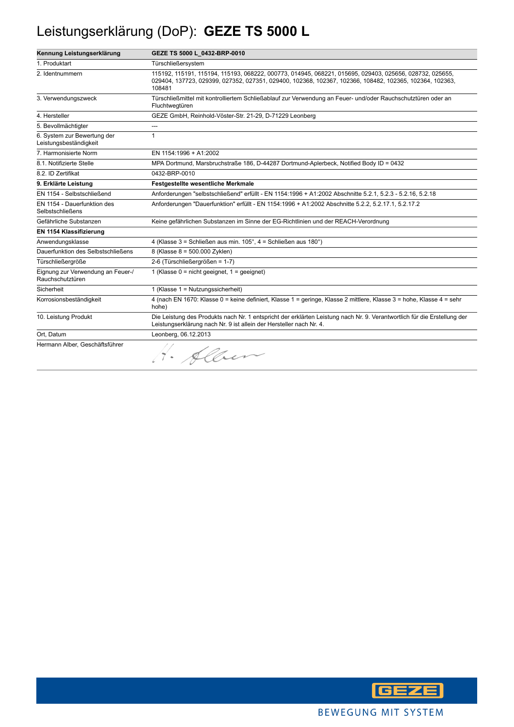# Leistungserklärung (DoP): **GEZE TS 5000 L**

| Kennung Leistungserklärung                            | GEZE TS 5000 L 0432-BRP-0010                                                                                                                                                                                                 |
|-------------------------------------------------------|------------------------------------------------------------------------------------------------------------------------------------------------------------------------------------------------------------------------------|
| 1. Produktart                                         | Türschließersystem                                                                                                                                                                                                           |
| 2. Identnummern                                       | 115192, 115191, 115194, 115193, 068222, 000773, 014945, 068221, 015695, 029403, 025656, 028732, 025655,<br>029404, 137723, 029399, 027352, 027351, 029400, 102368, 102367, 102366, 108482, 102365, 102364, 102363,<br>108481 |
| 3. Verwendungszweck                                   | Türschließmittel mit kontrolliertem Schließablauf zur Verwendung an Feuer- und/oder Rauchschutztüren oder an<br>Fluchtwegtüren                                                                                               |
| 4. Hersteller                                         | GEZE GmbH, Reinhold-Vöster-Str. 21-29, D-71229 Leonberg                                                                                                                                                                      |
| 5. Bevollmächtigter                                   | ---                                                                                                                                                                                                                          |
| 6. System zur Bewertung der<br>Leistungsbeständigkeit | $\mathbf{1}$                                                                                                                                                                                                                 |
| 7. Harmonisierte Norm                                 | EN 1154:1996 + A1:2002                                                                                                                                                                                                       |
| 8.1. Notifizierte Stelle                              | MPA Dortmund, Marsbruchstraße 186, D-44287 Dortmund-Aplerbeck, Notified Body ID = 0432                                                                                                                                       |
| 8.2. ID Zertifikat                                    | 0432-BRP-0010                                                                                                                                                                                                                |
| 9. Erklärte Leistung                                  | <b>Festgestellte wesentliche Merkmale</b>                                                                                                                                                                                    |
| EN 1154 - Selbstschließend                            | Anforderungen "selbstschließend" erfüllt - EN 1154:1996 + A1:2002 Abschnitte 5.2.1, 5.2.3 - 5.2.16, 5.2.18                                                                                                                   |
| EN 1154 - Dauerfunktion des<br>Selbstschließens       | Anforderungen "Dauerfunktion" erfüllt - EN 1154:1996 + A1:2002 Abschnitte 5.2.2, 5.2.17.1, 5.2.17.2                                                                                                                          |
| Gefährliche Substanzen                                | Keine gefährlichen Substanzen im Sinne der EG-Richtlinien und der REACH-Verordnung                                                                                                                                           |
| EN 1154 Klassifizierung                               |                                                                                                                                                                                                                              |
| Anwendungsklasse                                      | 4 (Klasse 3 = Schließen aus min. 105°, 4 = Schließen aus 180°)                                                                                                                                                               |
| Dauerfunktion des Selbstschließens                    | 8 (Klasse 8 = 500.000 Zyklen)                                                                                                                                                                                                |
| Türschließergröße                                     | 2-6 (Türschließergrößen = 1-7)                                                                                                                                                                                               |
| Eignung zur Verwendung an Feuer-/<br>Rauchschutztüren | 1 (Klasse $0 = \text{nicht}$ geeignet, $1 = \text{qeeigner}$ )                                                                                                                                                               |
| Sicherheit                                            | 1 (Klasse 1 = Nutzungssicherheit)                                                                                                                                                                                            |
| Korrosionsbeständigkeit                               | 4 (nach EN 1670: Klasse 0 = keine definiert, Klasse 1 = geringe, Klasse 2 mittlere, Klasse 3 = hohe, Klasse 4 = sehr<br>hohe)                                                                                                |
| 10. Leistung Produkt                                  | Die Leistung des Produkts nach Nr. 1 entspricht der erklärten Leistung nach Nr. 9. Verantwortlich für die Erstellung der<br>Leistungserklärung nach Nr. 9 ist allein der Hersteller nach Nr. 4.                              |
| Ort, Datum                                            | Leonberg, 06.12.2013                                                                                                                                                                                                         |
| Hermann Alber, Geschäftsführer                        | · Alber                                                                                                                                                                                                                      |

**GEZE**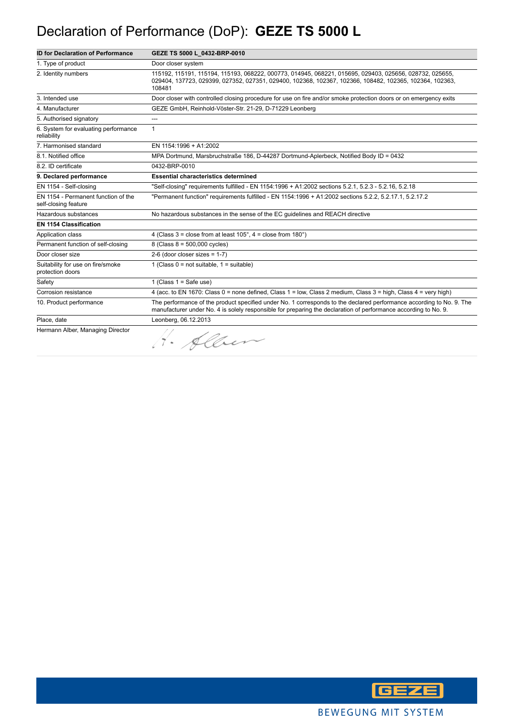#### Declaration of Performance (DoP): **GEZE TS 5000 L**

| <b>ID for Declaration of Performance</b>                    | GEZE TS 5000 L_0432-BRP-0010                                                                                                                                                                                                            |
|-------------------------------------------------------------|-----------------------------------------------------------------------------------------------------------------------------------------------------------------------------------------------------------------------------------------|
| 1. Type of product                                          | Door closer system                                                                                                                                                                                                                      |
| 2. Identity numbers                                         | 115192, 115191, 115194, 115193, 068222, 000773, 014945, 068221, 015695, 029403, 025656, 028732, 025655,<br>029404, 137723, 029399, 027352, 027351, 029400, 102368, 102367, 102366, 108482, 102365, 102364, 102363,<br>108481            |
| 3. Intended use                                             | Door closer with controlled closing procedure for use on fire and/or smoke protection doors or on emergency exits                                                                                                                       |
| 4. Manufacturer                                             | GEZE GmbH, Reinhold-Vöster-Str. 21-29, D-71229 Leonberg                                                                                                                                                                                 |
| 5. Authorised signatory                                     | ---                                                                                                                                                                                                                                     |
| 6. System for evaluating performance<br>reliability         | $\mathbf{1}$                                                                                                                                                                                                                            |
| 7. Harmonised standard                                      | EN 1154:1996 + A1:2002                                                                                                                                                                                                                  |
| 8.1. Notified office                                        | MPA Dortmund, Marsbruchstraße 186, D-44287 Dortmund-Aplerbeck, Notified Body ID = 0432                                                                                                                                                  |
| 8.2. ID certificate                                         | 0432-BRP-0010                                                                                                                                                                                                                           |
| 9. Declared performance                                     | <b>Essential characteristics determined</b>                                                                                                                                                                                             |
| EN 1154 - Self-closing                                      | "Self-closing" requirements fulfilled - EN 1154:1996 + A1:2002 sections 5.2.1, 5.2.3 - 5.2.16, 5.2.18                                                                                                                                   |
| EN 1154 - Permanent function of the<br>self-closing feature | "Permanent function" requirements fulfilled - EN 1154:1996 + A1:2002 sections 5.2.2, 5.2.17.1, 5.2.17.2                                                                                                                                 |
| Hazardous substances                                        | No hazardous substances in the sense of the EC quidelines and REACH directive                                                                                                                                                           |
| <b>EN 1154 Classification</b>                               |                                                                                                                                                                                                                                         |
| Application class                                           | 4 (Class $3 =$ close from at least $105^\circ$ , $4 =$ close from $180^\circ$ )                                                                                                                                                         |
| Permanent function of self-closing                          | 8 (Class 8 = 500,000 cycles)                                                                                                                                                                                                            |
| Door closer size                                            | $2-6$ (door closer sizes = 1-7)                                                                                                                                                                                                         |
| Suitability for use on fire/smoke<br>protection doors       | 1 (Class $0 = not suitable$ , $1 = suitable$ )                                                                                                                                                                                          |
| Safety                                                      | 1 (Class $1 =$ Safe use)                                                                                                                                                                                                                |
| Corrosion resistance                                        | 4 (acc. to EN 1670: Class 0 = none defined, Class 1 = low, Class 2 medium, Class 3 = high, Class 4 = very high)                                                                                                                         |
| 10. Product performance                                     | The performance of the product specified under No. 1 corresponds to the declared performance according to No. 9. The<br>manufacturer under No. 4 is solely responsible for preparing the declaration of performance according to No. 9. |
| Place, date                                                 | Leonberg, 06.12.2013                                                                                                                                                                                                                    |
| Hermann Alber, Managing Director                            | 1. Alber                                                                                                                                                                                                                                |

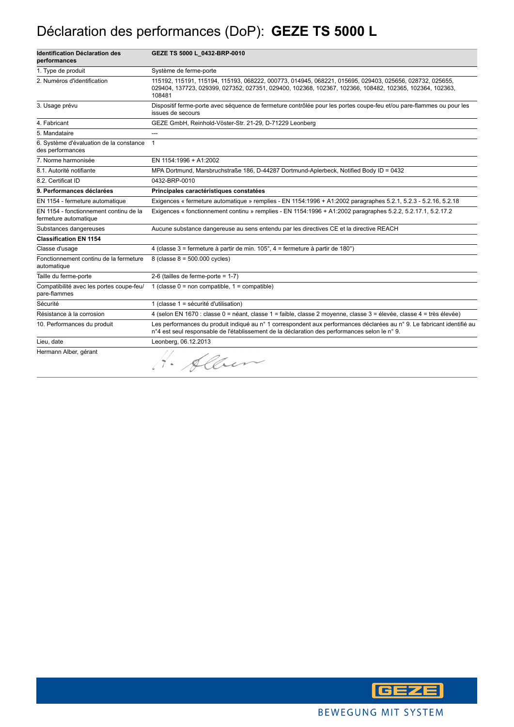### Déclaration des performances (DoP): **GEZE TS 5000 L**

| <b>Identification Déclaration des</b><br>performances           | GEZE TS 5000 L_0432-BRP-0010                                                                                                                                                                                                 |
|-----------------------------------------------------------------|------------------------------------------------------------------------------------------------------------------------------------------------------------------------------------------------------------------------------|
| 1. Type de produit                                              | Système de ferme-porte                                                                                                                                                                                                       |
| 2. Numéros d'identification                                     | 115192, 115191, 115194, 115193, 068222, 000773, 014945, 068221, 015695, 029403, 025656, 028732, 025655,<br>029404, 137723, 029399, 027352, 027351, 029400, 102368, 102367, 102366, 108482, 102365, 102364, 102363,<br>108481 |
| 3. Usage prévu                                                  | Dispositif ferme-porte avec séquence de fermeture contrôlée pour les portes coupe-feu et/ou pare-flammes ou pour les<br>issues de secours                                                                                    |
| 4. Fabricant                                                    | GEZE GmbH, Reinhold-Vöster-Str. 21-29, D-71229 Leonberg                                                                                                                                                                      |
| 5. Mandataire                                                   |                                                                                                                                                                                                                              |
| 6. Système d'évaluation de la constance<br>des performances     | $\mathbf{1}$                                                                                                                                                                                                                 |
| 7. Norme harmonisée                                             | EN 1154:1996 + A1:2002                                                                                                                                                                                                       |
| 8.1. Autorité notifiante                                        | MPA Dortmund, Marsbruchstraße 186, D-44287 Dortmund-Aplerbeck, Notified Body ID = 0432                                                                                                                                       |
| 8.2. Certificat ID                                              | 0432-BRP-0010                                                                                                                                                                                                                |
| 9. Performances déclarées                                       | Principales caractéristiques constatées                                                                                                                                                                                      |
| EN 1154 - fermeture automatique                                 | Exigences « fermeture automatique » remplies - EN 1154:1996 + A1:2002 paragraphes 5.2.1, 5.2.3 - 5.2.16, 5.2.18                                                                                                              |
| EN 1154 - fonctionnement continu de la<br>fermeture automatique | Exigences « fonctionnement continu » remplies - EN 1154:1996 + A1:2002 paragraphes 5.2.2, 5.2.17.1, 5.2.17.2                                                                                                                 |
| Substances dangereuses                                          | Aucune substance dangereuse au sens entendu par les directives CE et la directive REACH                                                                                                                                      |
| <b>Classification EN 1154</b>                                   |                                                                                                                                                                                                                              |
| Classe d'usage                                                  | 4 (classe 3 = fermeture à partir de min. $105^\circ$ , 4 = fermeture à partir de 180°)                                                                                                                                       |
| Fonctionnement continu de la fermeture<br>automatique           | 8 (classe $8 = 500.000$ cycles)                                                                                                                                                                                              |
| Taille du ferme-porte                                           | 2-6 (tailles de ferme-porte = $1-7$ )                                                                                                                                                                                        |
| Compatibilité avec les portes coupe-feu/<br>pare-flammes        | 1 (classe $0 = \text{non compatible}$ , 1 = compatible)                                                                                                                                                                      |
| Sécurité                                                        | 1 (classe 1 = sécurité d'utilisation)                                                                                                                                                                                        |
| Résistance à la corrosion                                       | 4 (selon EN 1670 : classe 0 = néant, classe 1 = faible, classe 2 moyenne, classe 3 = élevée, classe 4 = très élevée)                                                                                                         |
| 10. Performances du produit                                     | Les performances du produit indiqué au n° 1 correspondent aux performances déclarées au n° 9. Le fabricant identifié au<br>n°4 est seul responsable de l'établissement de la déclaration des performances selon le n°9.      |
| Lieu, date                                                      | Leonberg, 06.12.2013                                                                                                                                                                                                         |
| Hermann Alber, gérant                                           | 1. Alber                                                                                                                                                                                                                     |

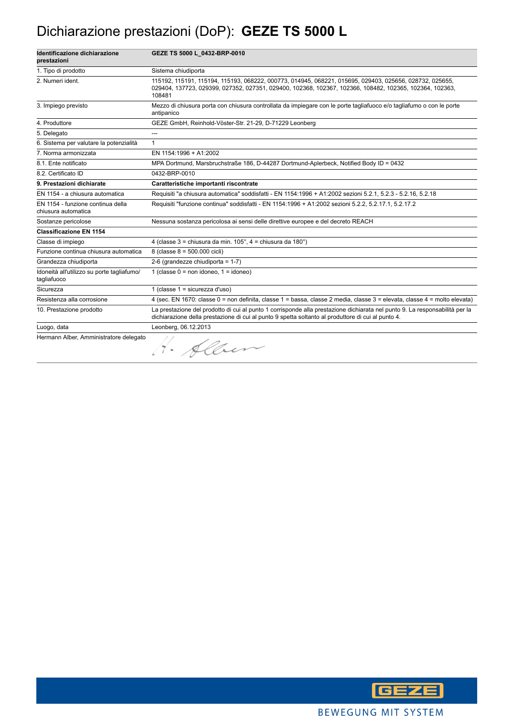#### Dichiarazione prestazioni (DoP): **GEZE TS 5000 L**

| Identificazione dichiarazione<br>prestazioni              | GEZE TS 5000 L 0432-BRP-0010                                                                                                                                                                                                      |
|-----------------------------------------------------------|-----------------------------------------------------------------------------------------------------------------------------------------------------------------------------------------------------------------------------------|
| 1. Tipo di prodotto                                       | Sistema chiudiporta                                                                                                                                                                                                               |
| 2. Numeri ident.                                          | 115192, 115191, 115194, 115193, 068222, 000773, 014945, 068221, 015695, 029403, 025656, 028732, 025655,<br>029404, 137723, 029399, 027352, 027351, 029400, 102368, 102367, 102366, 108482, 102365, 102364, 102363,<br>108481      |
| 3. Impiego previsto                                       | Mezzo di chiusura porta con chiusura controllata da impiegare con le porte tagliafuoco e/o tagliafumo o con le porte<br>antipanico                                                                                                |
| 4. Produttore                                             | GEZE GmbH, Reinhold-Vöster-Str. 21-29, D-71229 Leonberg                                                                                                                                                                           |
| 5. Delegato                                               | ---                                                                                                                                                                                                                               |
| 6. Sistema per valutare la potenzialità                   | 1                                                                                                                                                                                                                                 |
| 7. Norma armonizzata                                      | EN 1154:1996 + A1:2002                                                                                                                                                                                                            |
| 8.1. Ente notificato                                      | MPA Dortmund, Marsbruchstraße 186, D-44287 Dortmund-Aplerbeck, Notified Body ID = 0432                                                                                                                                            |
| 8.2. Certificato ID                                       | 0432-BRP-0010                                                                                                                                                                                                                     |
| 9. Prestazioni dichiarate                                 | Caratteristiche importanti riscontrate                                                                                                                                                                                            |
| EN 1154 - a chiusura automatica                           | Requisiti "a chiusura automatica" soddisfatti - EN 1154:1996 + A1:2002 sezioni 5.2.1, 5.2.3 - 5.2.16, 5.2.18                                                                                                                      |
| EN 1154 - funzione continua della<br>chiusura automatica  | Requisiti "funzione continua" soddisfatti - EN 1154:1996 + A1:2002 sezioni 5.2.2, 5.2.17.1, 5.2.17.2                                                                                                                              |
| Sostanze pericolose                                       | Nessuna sostanza pericolosa ai sensi delle direttive europee e del decreto REACH                                                                                                                                                  |
| <b>Classificazione EN 1154</b>                            |                                                                                                                                                                                                                                   |
| Classe di impiego                                         | 4 (classe $3$ = chiusura da min. $105^\circ$ , $4$ = chiusura da $180^\circ$ )                                                                                                                                                    |
| Funzione continua chiusura automatica                     | 8 (classe 8 = 500.000 cicli)                                                                                                                                                                                                      |
| Grandezza chiudiporta                                     | 2-6 (grandezze chiudiporta = $1-7$ )                                                                                                                                                                                              |
| Idoneità all'utilizzo su porte tagliafumo/<br>tagliafuoco | 1 (classe $0 = \text{non}$ idoneo, $1 = \text{idoneo}$ )                                                                                                                                                                          |
| Sicurezza                                                 | 1 (classe $1 =$ sicurezza d'uso)                                                                                                                                                                                                  |
| Resistenza alla corrosione                                | 4 (sec. EN 1670: classe 0 = non definita, classe 1 = bassa, classe 2 media, classe 3 = elevata, classe 4 = molto elevata)                                                                                                         |
| 10. Prestazione prodotto                                  | La prestazione del prodotto di cui al punto 1 corrisponde alla prestazione dichiarata nel punto 9. La responsabilità per la<br>dichiarazione della prestazione di cui al punto 9 spetta soltanto al produttore di cui al punto 4. |
| Luogo, data                                               | Leonberg, 06.12.2013                                                                                                                                                                                                              |
| Hermann Alber, Amministratore delegato                    | 1. Allen                                                                                                                                                                                                                          |

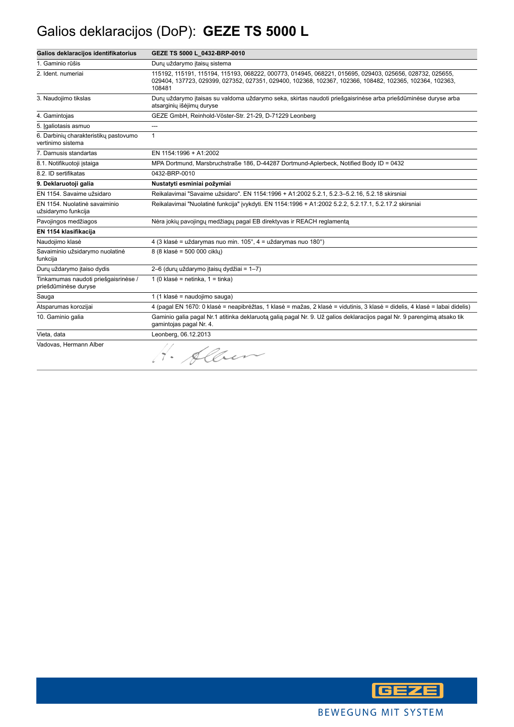# Galios deklaracijos (DoP): **GEZE TS 5000 L**

| Galios deklaracijos identifikatorius                         | GEZE TS 5000 L 0432-BRP-0010                                                                                                                                                                                                 |
|--------------------------------------------------------------|------------------------------------------------------------------------------------------------------------------------------------------------------------------------------------------------------------------------------|
| 1. Gaminio rūšis                                             | Durų uždarymo įtaisų sistema                                                                                                                                                                                                 |
| 2. Ident. numeriai                                           | 115192, 115191, 115194, 115193, 068222, 000773, 014945, 068221, 015695, 029403, 025656, 028732, 025655,<br>029404, 137723, 029399, 027352, 027351, 029400, 102368, 102367, 102366, 108482, 102365, 102364, 102363,<br>108481 |
| 3. Naudojimo tikslas                                         | Durų uždarymo įtaisas su valdoma uždarymo seka, skirtas naudoti priešgaisrinėse arba priešdūminėse duryse arba<br>atsarginių išėjimų duryse                                                                                  |
| 4. Gamintojas                                                | GEZE GmbH, Reinhold-Vöster-Str. 21-29, D-71229 Leonberg                                                                                                                                                                      |
| 5. Igaliotasis asmuo                                         | ---                                                                                                                                                                                                                          |
| 6. Darbinių charakteristikų pastovumo<br>vertinimo sistema   | $\mathbf{1}$                                                                                                                                                                                                                 |
| 7. Darnusis standartas                                       | EN 1154:1996 + A1:2002                                                                                                                                                                                                       |
| 8.1. Notifikuotoji istaiga                                   | MPA Dortmund, Marsbruchstraße 186, D-44287 Dortmund-Aplerbeck, Notified Body ID = 0432                                                                                                                                       |
| 8.2. ID sertifikatas                                         | 0432-BRP-0010                                                                                                                                                                                                                |
| 9. Deklaruotoji galia                                        | Nustatyti esminiai požymiai                                                                                                                                                                                                  |
| EN 1154. Savaime užsidaro                                    | Reikalavimai "Savaime užsidaro". EN 1154:1996 + A1:2002 5.2.1, 5.2.3-5.2.16, 5.2.18 skirsniai                                                                                                                                |
| EN 1154. Nuolatinė savaiminio<br>užsidarymo funkcija         | Reikalavimai "Nuolatinė funkcija" įvykdyti. EN 1154:1996 + A1:2002 5.2.2, 5.2.17.1, 5.2.17.2 skirsniai                                                                                                                       |
| Pavojingos medžiagos                                         | Nėra jokių pavojingų medžiagų pagal EB direktyvas ir REACH reglamentą                                                                                                                                                        |
| EN 1154 klasifikacija                                        |                                                                                                                                                                                                                              |
| Naudojimo klasė                                              | 4 (3 klasė = uždarymas nuo min. 105°, 4 = uždarymas nuo 180°)                                                                                                                                                                |
| Savaiminio užsidarymo nuolatinė<br>funkcija                  | 8 (8 klasė = 500 000 ciklu)                                                                                                                                                                                                  |
| Durų uždarymo įtaiso dydis                                   | 2-6 (durų uždarymo įtaisų dydžiai = 1-7)                                                                                                                                                                                     |
| Tinkamumas naudoti priešgaisrinėse /<br>priešdūminėse duryse | 1 (0 klasė = netinka, $1 =$ tinka)                                                                                                                                                                                           |
| Sauga                                                        | 1 (1 klasė = naudojimo sauga)                                                                                                                                                                                                |
| Atsparumas korozijai                                         | 4 (pagal EN 1670: 0 klasė = neapibrėžtas, 1 klasė = mažas, 2 klasė = vidutinis, 3 klasė = didelis, 4 klasė = labai didelis)                                                                                                  |
| 10. Gaminio galia                                            | Gaminio galia pagal Nr.1 atitinka deklaruota galia pagal Nr. 9. Už galios deklaracijos pagal Nr. 9 parengimą atsako tik<br>gamintojas pagal Nr. 4.                                                                           |
| Vieta, data                                                  | Leonberg, 06.12.2013                                                                                                                                                                                                         |
| Vadovas, Hermann Alber                                       | 1. Alber                                                                                                                                                                                                                     |

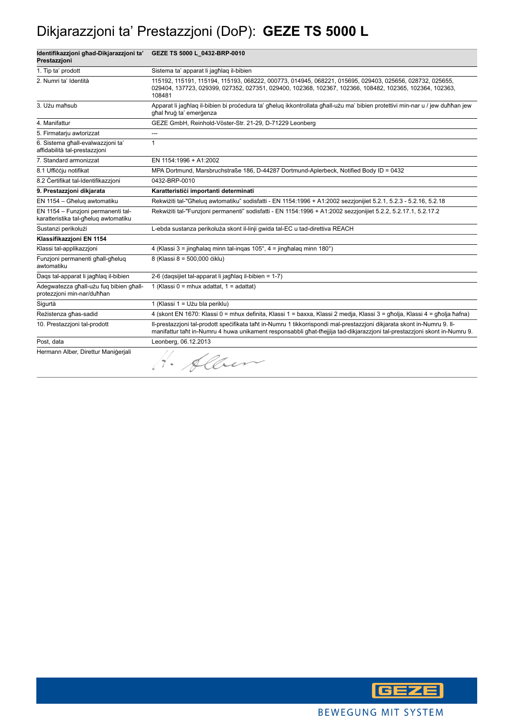# Dikjarazzjoni ta' Prestazzjoni (DoP): **GEZE TS 5000 L**

| Identifikazzjoni ghad-Dikjarazzjoni ta'<br>Prestazzioni                    | GEZE TS 5000 L_0432-BRP-0010                                                                                                                                                                                                                         |
|----------------------------------------------------------------------------|------------------------------------------------------------------------------------------------------------------------------------------------------------------------------------------------------------------------------------------------------|
| 1. Tip ta' prodott                                                         | Sistema ta' apparat li jagħlag il-bibien                                                                                                                                                                                                             |
| 2. Numri ta' Identità                                                      | 115192, 115191, 115194, 115193, 068222, 000773, 014945, 068221, 015695, 029403, 025656, 028732, 025655,<br>029404, 137723, 029399, 027352, 027351, 029400, 102368, 102367, 102366, 108482, 102365, 102364, 102363,<br>108481                         |
| 3. Użu maħsub                                                              | Apparat li jagħlaq il-bibien bi procedura ta' għeluq ikkontrollata għall-użu ma' bibien protettivi min-nar u / jew duħħan jew<br>ghal hrug ta' emergenza                                                                                             |
| 4. Manifattur                                                              | GEZE GmbH, Reinhold-Vöster-Str. 21-29, D-71229 Leonberg                                                                                                                                                                                              |
| 5. Firmatarju awtorizzat                                                   | ---                                                                                                                                                                                                                                                  |
| 6. Sistema għall-evalwazzjoni ta'<br>affidabilità tal-prestazzioni         | $\mathbf{1}$                                                                                                                                                                                                                                         |
| 7. Standard armonizzat                                                     | EN 1154:1996 + A1:2002                                                                                                                                                                                                                               |
| 8.1 Ufficcju notifikat                                                     | MPA Dortmund, Marsbruchstraße 186, D-44287 Dortmund-Aplerbeck, Notified Body ID = 0432                                                                                                                                                               |
| 8.2 Certifikat tal-Identifikazzjoni                                        | 0432-BRP-0010                                                                                                                                                                                                                                        |
| 9. Prestazzjoni dikjarata                                                  | Karatteristici importanti determinati                                                                                                                                                                                                                |
| EN 1154 - Għelug awtomatiku                                                | Rekwiżiti tal-"Għeluq awtomatiku" sodisfatti - EN 1154:1996 + A1:2002 sezzjonijiet 5.2.1, 5.2.3 - 5.2.16, 5.2.18                                                                                                                                     |
| EN 1154 - Funzioni permanenti tal-<br>karatteristika tal-għeluq awtomatiku | Rekwiżiti tal-"Funzjoni permanenti" sodisfatti - EN 1154:1996 + A1:2002 sezzjonijiet 5.2.2, 5.2.17.1, 5.2.17.2                                                                                                                                       |
| Sustanzi perikolużi                                                        | L-ebda sustanza perikoluża skont il-linji gwida tal-EC u tad-direttiva REACH                                                                                                                                                                         |
| Klassifikazzjoni EN 1154                                                   |                                                                                                                                                                                                                                                      |
| Klassi tal-applikazzjoni                                                   | 4 (Klassi 3 = jinghalaq minn tal-ingas 105°, 4 = jinghalaq minn 180°)                                                                                                                                                                                |
| Funzjoni permanenti ghall-gheluq<br>awtomatiku                             | 8 (Klassi 8 = 500,000 ciklu)                                                                                                                                                                                                                         |
| Dags tal-apparat li jagħlag il-bibien                                      | 2-6 (dagsijiet tal-apparat li jagħlag il-bibien = 1-7)                                                                                                                                                                                               |
| Adeqwatezza għall-użu fug bibien għall-<br>protezzjoni min-nar/duħħan      | 1 (Klassi 0 = mhux adattat, 1 = adattat)                                                                                                                                                                                                             |
| Sigurtà                                                                    | 1 (Klassi 1 = Użu bla periklu)                                                                                                                                                                                                                       |
| Reżistenza għas-sadid                                                      | 4 (skont EN 1670: Klassi 0 = mhux definita, Klassi 1 = baxxa, Klassi 2 medja, Klassi 3 = qħolja, Klassi 4 = qħolja ħafna)                                                                                                                            |
| 10. Prestazzioni tal-prodott                                               | II-prestazzjoni tal-prodott specifikata taht in-Numru 1 tikkorrispondi mal-prestazzjoni dikjarata skont in-Numru 9. II-<br>manifattur taht in-Numru 4 huwa unikament responsabbli ghat-thejjija tad-dikjarazzjoni tal-prestazzjoni skont in-Numru 9. |
| Post, data                                                                 | Leonberg, 06.12.2013                                                                                                                                                                                                                                 |
| Hermann Alber, Direttur Manigeriali                                        | H. Alber                                                                                                                                                                                                                                             |

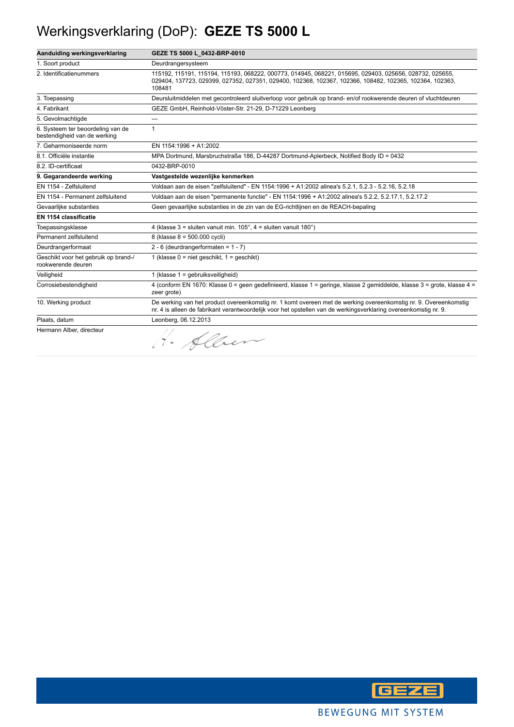### Werkingsverklaring (DoP): **GEZE TS 5000 L**

| Aanduiding werkingsverklaring                                     | GEZE TS 5000 L 0432-BRP-0010                                                                                                                                                                                                         |
|-------------------------------------------------------------------|--------------------------------------------------------------------------------------------------------------------------------------------------------------------------------------------------------------------------------------|
| 1. Soort product                                                  | Deurdrangersysteem                                                                                                                                                                                                                   |
| 2. Identificatienummers                                           | 115192, 115191, 115194, 115193, 068222, 000773, 014945, 068221, 015695, 029403, 025656, 028732, 025655,<br>029404, 137723, 029399, 027352, 027351, 029400, 102368, 102367, 102366, 108482, 102365, 102364, 102363,<br>108481         |
| 3. Toepassing                                                     | Deursluitmiddelen met gecontroleerd sluitverloop voor gebruik op brand-en/of rookwerende deuren of vluchtdeuren                                                                                                                      |
| 4. Fabrikant                                                      | GEZE GmbH, Reinhold-Vöster-Str. 21-29, D-71229 Leonberg                                                                                                                                                                              |
| 5. Gevolmachtigde                                                 | ---                                                                                                                                                                                                                                  |
| 6. Systeem ter beoordeling van de<br>bestendigheid van de werking | 1                                                                                                                                                                                                                                    |
| 7. Geharmoniseerde norm                                           | EN 1154:1996 + A1:2002                                                                                                                                                                                                               |
| 8.1. Officiële instantie                                          | MPA Dortmund, Marsbruchstraße 186, D-44287 Dortmund-Aplerbeck, Notified Body ID = 0432                                                                                                                                               |
| 8.2. ID-certificaat                                               | 0432-BRP-0010                                                                                                                                                                                                                        |
| 9. Gegarandeerde werking                                          | Vastgestelde wezenlijke kenmerken                                                                                                                                                                                                    |
| EN 1154 - Zelfsluitend                                            | Voldaan aan de eisen "zelfsluitend" - EN 1154:1996 + A1:2002 alinea's 5.2.1, 5.2.3 - 5.2.16, 5.2.18                                                                                                                                  |
| EN 1154 - Permanent zelfsluitend                                  | Voldaan aan de eisen "permanente functie" - EN 1154:1996 + A1:2002 alinea's 5.2.2, 5.2.17.1, 5.2.17.2                                                                                                                                |
| Gevaarlijke substanties                                           | Geen gevaarlijke substanties in de zin van de EG-richtlijnen en de REACH-bepaling                                                                                                                                                    |
| EN 1154 classificatie                                             |                                                                                                                                                                                                                                      |
| Toepassingsklasse                                                 | 4 (klasse $3 =$ sluiten vanuit min. $105^\circ$ , $4 =$ sluiten vanuit $180^\circ$ )                                                                                                                                                 |
| Permanent zelfsluitend                                            | 8 (klasse 8 = 500.000 cycli)                                                                                                                                                                                                         |
| Deurdrangerformaat                                                | $2 - 6$ (deurdrangerformaten = 1 - 7)                                                                                                                                                                                                |
| Geschikt voor het gebruik op brand-/<br>rookwerende deuren        | 1 (klasse $0 =$ niet geschikt, $1 =$ geschikt)                                                                                                                                                                                       |
| Veiligheid                                                        | 1 (klasse 1 = gebruiksveiligheid)                                                                                                                                                                                                    |
| Corrosiebestendigheid                                             | 4 (conform EN 1670: Klasse 0 = geen gedefinieerd, klasse 1 = geringe, klasse 2 gemiddelde, klasse 3 = grote, klasse 4 =<br>zeer grote)                                                                                               |
| 10. Werking product                                               | De werking van het product overeenkomstig nr. 1 komt overeen met de werking overeenkomstig nr. 9. Overeenkomstig<br>nr. 4 is alleen de fabrikant verantwoordelijk voor het opstellen van de werkingsverklaring overeenkomstig nr. 9. |
| Plaats, datum                                                     | Leonberg, 06.12.2013                                                                                                                                                                                                                 |
| Hermann Alber, directeur                                          | · Alber                                                                                                                                                                                                                              |

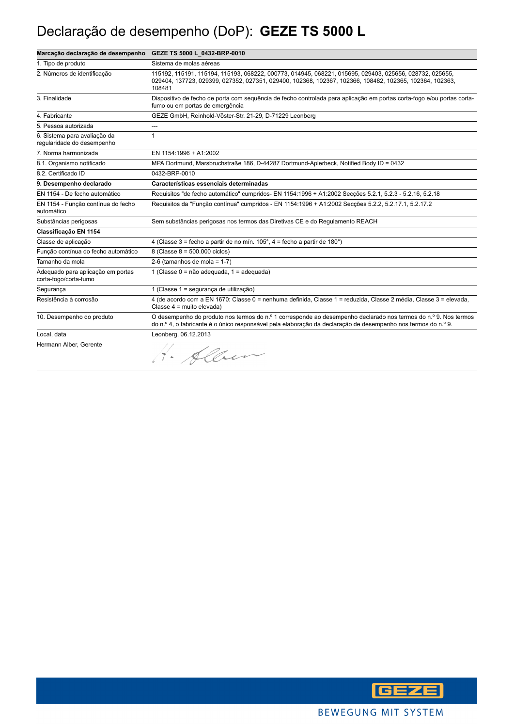### Declaração de desempenho (DoP): **GEZE TS 5000 L**

| Marcação declaração de desempenho GEZE TS 5000 L_0432-BRP-0010 |                                                                                                                                                                                                                                  |
|----------------------------------------------------------------|----------------------------------------------------------------------------------------------------------------------------------------------------------------------------------------------------------------------------------|
| 1. Tipo de produto                                             | Sistema de molas aéreas                                                                                                                                                                                                          |
| 2. Números de identificação                                    | 115192, 115191, 115194, 115193, 068222, 000773, 014945, 068221, 015695, 029403, 025656, 028732, 025655,<br>029404, 137723, 029399, 027352, 027351, 029400, 102368, 102367, 102366, 108482, 102365, 102364, 102363,<br>108481     |
| 3. Finalidade                                                  | Dispositivo de fecho de porta com seguência de fecho controlada para aplicação em portas corta-fogo e/ou portas corta-<br>fumo ou em portas de emergência                                                                        |
| 4. Fabricante                                                  | GEZE GmbH, Reinhold-Vöster-Str. 21-29, D-71229 Leonberg                                                                                                                                                                          |
| 5. Pessoa autorizada                                           | ---                                                                                                                                                                                                                              |
| 6. Sistema para avaliação da<br>regularidade do desempenho     | 1                                                                                                                                                                                                                                |
| 7. Norma harmonizada                                           | EN 1154:1996 + A1:2002                                                                                                                                                                                                           |
| 8.1. Organismo notificado                                      | MPA Dortmund, Marsbruchstraße 186, D-44287 Dortmund-Aplerbeck, Notified Body ID = 0432                                                                                                                                           |
| 8.2. Certificado ID                                            | 0432-BRP-0010                                                                                                                                                                                                                    |
| 9. Desempenho declarado                                        | Características essenciais determinadas                                                                                                                                                                                          |
| EN 1154 - De fecho automático                                  | Requisitos "de fecho automático" cumpridos- EN 1154:1996 + A1:2002 Secções 5.2.1, 5.2.3 - 5.2.16, 5.2.18                                                                                                                         |
| EN 1154 - Função contínua do fecho<br>automático               | Requisitos da "Função contínua" cumpridos - EN 1154:1996 + A1:2002 Secções 5.2.2, 5.2.17.1, 5.2.17.2                                                                                                                             |
| Substâncias perigosas                                          | Sem substâncias perigosas nos termos das Diretivas CE e do Regulamento REACH                                                                                                                                                     |
| Classificação EN 1154                                          |                                                                                                                                                                                                                                  |
| Classe de aplicação                                            | 4 (Classe 3 = fecho a partir de no mín. $105^\circ$ , 4 = fecho a partir de 180°)                                                                                                                                                |
| Função contínua do fecho automático                            | 8 (Classe 8 = 500.000 ciclos)                                                                                                                                                                                                    |
| Tamanho da mola                                                | 2-6 (tamanhos de mola = $1-7$ )                                                                                                                                                                                                  |
| Adequado para aplicação em portas<br>corta-fogo/corta-fumo     | 1 (Classe 0 = não adequada, 1 = adequada)                                                                                                                                                                                        |
| Segurança                                                      | 1 (Classe 1 = segurança de utilização)                                                                                                                                                                                           |
| Resistência à corrosão                                         | 4 (de acordo com a EN 1670: Classe 0 = nenhuma definida, Classe 1 = reduzida, Classe 2 média, Classe 3 = elevada,<br>Classe 4 = muito elevada)                                                                                   |
| 10. Desempenho do produto                                      | O desempenho do produto nos termos do n.º 1 corresponde ao desempenho declarado nos termos do n.º 9. Nos termos<br>do n.º 4, o fabricante é o único responsável pela elaboração da declaração de desempenho nos termos do n.º 9. |
| Local, data                                                    | Leonberg, 06.12.2013                                                                                                                                                                                                             |
| Hermann Alber, Gerente                                         | 1. Alber                                                                                                                                                                                                                         |

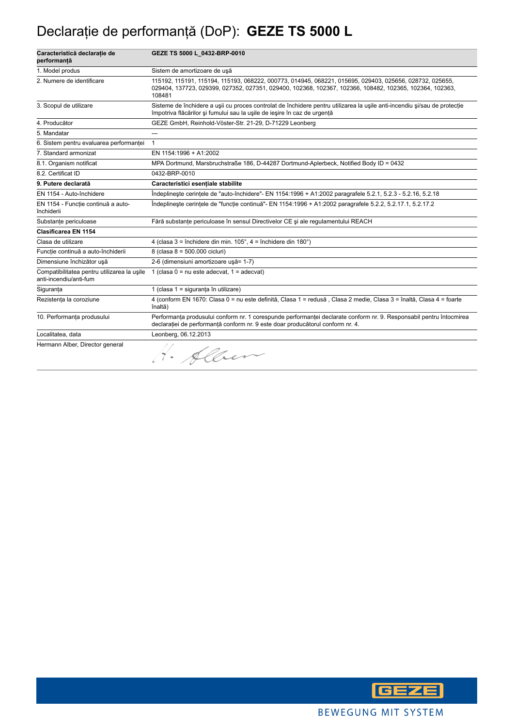# Declaraţie de performanţă (DoP): **GEZE TS 5000 L**

| Caracteristică declarație de<br>performanță                           | GEZE TS 5000 L_0432-BRP-0010                                                                                                                                                                                                 |
|-----------------------------------------------------------------------|------------------------------------------------------------------------------------------------------------------------------------------------------------------------------------------------------------------------------|
| 1. Model produs                                                       | Sistem de amortizoare de usă                                                                                                                                                                                                 |
| 2. Numere de identificare                                             | 115192, 115191, 115194, 115193, 068222, 000773, 014945, 068221, 015695, 029403, 025656, 028732, 025655,<br>029404, 137723, 029399, 027352, 027351, 029400, 102368, 102367, 102366, 108482, 102365, 102364, 102363,<br>108481 |
| 3. Scopul de utilizare                                                | Sisteme de închidere a usii cu proces controlat de închidere pentru utilizarea la usile anti-incendiu si/sau de protectie<br>împotriva flăcărilor și fumului sau la ușile de ieșire în caz de urgență                        |
| 4. Producător                                                         | GEZE GmbH, Reinhold-Vöster-Str. 21-29, D-71229 Leonberg                                                                                                                                                                      |
| 5. Mandatar                                                           | ---                                                                                                                                                                                                                          |
| 6. Sistem pentru evaluarea performanței                               | $\mathbf{1}$                                                                                                                                                                                                                 |
| 7. Standard armonizat                                                 | EN 1154:1996 + A1:2002                                                                                                                                                                                                       |
| 8.1. Organism notificat                                               | MPA Dortmund, Marsbruchstraße 186, D-44287 Dortmund-Aplerbeck, Notified Body ID = 0432                                                                                                                                       |
| 8.2. Certificat ID                                                    | 0432-BRP-0010                                                                                                                                                                                                                |
| 9. Putere declarată                                                   | Caracteristici esentiale stabilite                                                                                                                                                                                           |
| EN 1154 - Auto-închidere                                              | Îndeplineste cerintele de "auto-închidere"- EN 1154:1996 + A1:2002 paragrafele 5.2.1, 5.2.3 - 5.2.16, 5.2.18                                                                                                                 |
| EN 1154 - Functie continuă a auto-<br>închiderii                      | Îndeplineste cerintele de "functie continuă"- EN 1154:1996 + A1:2002 paragrafele 5.2.2, 5.2.17.1, 5.2.17.2                                                                                                                   |
| Substanțe periculoase                                                 | Fără substanțe periculoase în sensul Directivelor CE și ale regulamentului REACH                                                                                                                                             |
| Clasificarea EN 1154                                                  |                                                                                                                                                                                                                              |
| Clasa de utilizare                                                    | 4 (clasa 3 = închidere din min. $105^\circ$ , 4 = închidere din $180^\circ$ )                                                                                                                                                |
| Funcție continuă a auto-închiderii                                    | 8 (clasa 8 = 500.000 cicluri)                                                                                                                                                                                                |
| Dimensiune închizător usă                                             | 2-6 (dimensiuni amortizoare ușă= 1-7)                                                                                                                                                                                        |
| Compatibilitatea pentru utilizarea la usile<br>anti-incendiu/anti-fum | 1 (clasa $0 = nu$ este adecvat, $1 = adecvat$ )                                                                                                                                                                              |
| Siguranța                                                             | 1 (clasa 1 = siguranța în utilizare)                                                                                                                                                                                         |
| Rezistența la coroziune                                               | 4 (conform EN 1670: Clasa 0 = nu este definită, Clasa 1 = redusă, Clasa 2 medie, Clasa 3 = înaltă, Clasa 4 = foarte<br>înaltă)                                                                                               |
| 10. Performanța produsului                                            | Performanța produsului conform nr. 1 corespunde performanței declarate conform nr. 9. Responsabil pentru întocmirea<br>declarației de performanță conform nr. 9 este doar producătorul conform nr. 4.                        |
| Localitatea, data                                                     | Leonberg, 06.12.2013                                                                                                                                                                                                         |
| Hermann Alber, Director general                                       | 1. Alber                                                                                                                                                                                                                     |

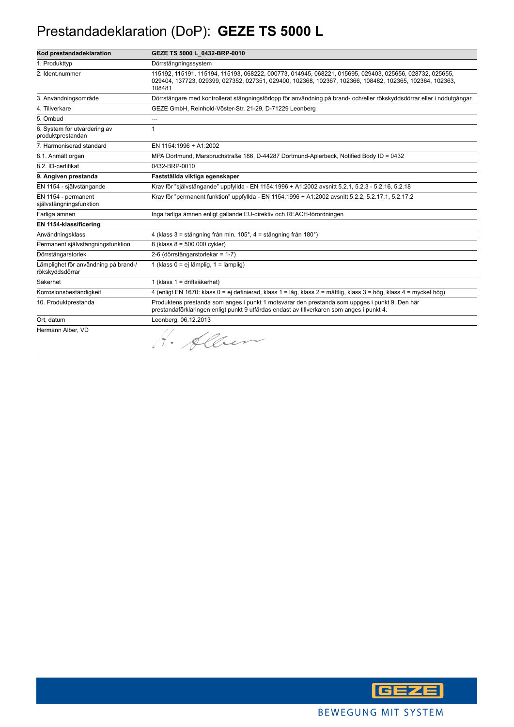#### Prestandadeklaration (DoP): **GEZE TS 5000 L**

| Kod prestandadeklaration                                | GEZE TS 5000 L_0432-BRP-0010                                                                                                                                                                                                 |
|---------------------------------------------------------|------------------------------------------------------------------------------------------------------------------------------------------------------------------------------------------------------------------------------|
| 1. Produkttyp                                           | Dörrstängningssystem                                                                                                                                                                                                         |
| 2. Ident.nummer                                         | 115192, 115191, 115194, 115193, 068222, 000773, 014945, 068221, 015695, 029403, 025656, 028732, 025655,<br>029404, 137723, 029399, 027352, 027351, 029400, 102368, 102367, 102366, 108482, 102365, 102364, 102363,<br>108481 |
| 3. Användningsområde                                    | Dörrstängare med kontrollerat stängningsförlopp för användning på brand- och/eller rökskyddsdörrar eller i nödutgångar.                                                                                                      |
| 4. Tillverkare                                          | GEZE GmbH, Reinhold-Vöster-Str. 21-29, D-71229 Leonberg                                                                                                                                                                      |
| 5. Ombud                                                |                                                                                                                                                                                                                              |
| 6. System för utvärdering av<br>produktprestandan       | 1                                                                                                                                                                                                                            |
| 7. Harmoniserad standard                                | EN 1154:1996 + A1:2002                                                                                                                                                                                                       |
| 8.1. Anmält organ                                       | MPA Dortmund, Marsbruchstraße 186, D-44287 Dortmund-Aplerbeck, Notified Body ID = 0432                                                                                                                                       |
| 8.2. ID-certifikat                                      | 0432-BRP-0010                                                                                                                                                                                                                |
| 9. Angiven prestanda                                    | Fastställda viktiga egenskaper                                                                                                                                                                                               |
| EN 1154 - självstängande                                | Krav för "självstängande" uppfyllda - EN 1154:1996 + A1:2002 avsnitt 5.2.1, 5.2.3 - 5.2.16, 5.2.18                                                                                                                           |
| EN 1154 - permanent<br>självstängningsfunktion          | Krav för "permanent funktion" uppfyllda - EN 1154:1996 + A1:2002 avsnitt 5.2.2, 5.2.17.1, 5.2.17.2                                                                                                                           |
| Farliga ämnen                                           | Inga farliga ämnen enligt gällande EU-direktiv och REACH-förordningen                                                                                                                                                        |
| EN 1154-klassificering                                  |                                                                                                                                                                                                                              |
| Användningsklass                                        | 4 (klass 3 = stängning från min. 105°, 4 = stängning från 180°)                                                                                                                                                              |
| Permanent självstängningsfunktion                       | 8 (klass 8 = 500 000 cykler)                                                                                                                                                                                                 |
| Dörrstängarstorlek                                      | 2-6 (dörrstängarstorlekar = 1-7)                                                                                                                                                                                             |
| Lämplighet för användning på brand-/<br>rökskyddsdörrar | 1 (klass $0 = ei$ lämplig, $1 =$ lämplig)                                                                                                                                                                                    |
| Säkerhet                                                | 1 (klass 1 = driftsäkerhet)                                                                                                                                                                                                  |
| Korrosionsbeständigkeit                                 | 4 (enligt EN 1670: klass 0 = ej definierad, klass 1 = låg, klass 2 = måttlig, klass 3 = hög, klass 4 = mycket hög)                                                                                                           |
| 10. Produktprestanda                                    | Produktens prestanda som anges i punkt 1 motsvarar den prestanda som uppges i punkt 9. Den här<br>prestandaförklaringen enligt punkt 9 utfärdas endast av tillverkaren som anges i punkt 4.                                  |
| Ort, datum                                              | Leonberg, 06.12.2013                                                                                                                                                                                                         |
| Hermann Alber, VD                                       | 4. Alben                                                                                                                                                                                                                     |

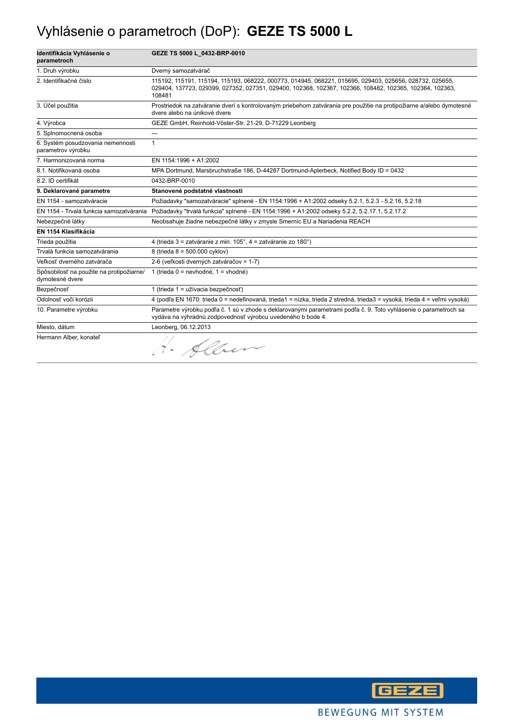### Vyhlásenie o parametroch (DoP): **GEZE TS 5000 L**

| Identifikácia Vyhlásenie o<br>parametroch                   | GEZE TS 5000 L_0432-BRP-0010                                                                                                                                                                                                 |
|-------------------------------------------------------------|------------------------------------------------------------------------------------------------------------------------------------------------------------------------------------------------------------------------------|
| 1. Druh výrobku                                             | Dverný samozatvárač                                                                                                                                                                                                          |
| 2. Identifikačné číslo                                      | 115192, 115191, 115194, 115193, 068222, 000773, 014945, 068221, 015695, 029403, 025656, 028732, 025655,<br>029404, 137723, 029399, 027352, 027351, 029400, 102368, 102367, 102366, 108482, 102365, 102364, 102363,<br>108481 |
| 3. Účel použitia                                            | Prostriedok na zatváranie dverí s kontrolovaným priebehom zatvárania pre použitie na protipožiarne a/alebo dymotesné<br>dvere alebo na únikové dvere                                                                         |
| 4. Výrobca                                                  | GEZE GmbH, Reinhold-Vöster-Str. 21-29, D-71229 Leonberg                                                                                                                                                                      |
| 5. Splnomocnená osoba                                       | ---                                                                                                                                                                                                                          |
| 6. Systém posudzovania nemennosti<br>parametrov výrobku     | 1                                                                                                                                                                                                                            |
| 7. Harmonizovaná norma                                      | EN 1154:1996 + A1:2002                                                                                                                                                                                                       |
| 8.1. Notifikovaná osoba                                     | MPA Dortmund, Marsbruchstraße 186, D-44287 Dortmund-Aplerbeck, Notified Body ID = 0432                                                                                                                                       |
| 8.2. ID certifikát                                          | 0432-BRP-0010                                                                                                                                                                                                                |
| 9. Deklarované parametre                                    | Stanovené podstatné vlastnosti                                                                                                                                                                                               |
| EN 1154 - samozatváracie                                    | Požiadavky "samozatváracie" splnené - EN 1154:1996 + A1:2002 odseky 5.2.1, 5.2.3 - 5.2.16, 5.2.18                                                                                                                            |
| EN 1154 - Trvalá funkcia samozatvárania                     | Požiadavky "trvalá funkcia" splnené - EN 1154:1996 + A1:2002 odseky 5.2.2, 5.2.17.1, 5.2.17.2                                                                                                                                |
| Nebezpečné látky                                            | Neobsahuje žiadne nebezpečné látky v zmysle Smerníc EU a Nariadenia REACH                                                                                                                                                    |
| EN 1154 Klasifikácia                                        |                                                                                                                                                                                                                              |
| Trieda použitia                                             | 4 (trieda 3 = zatváranie z min. 105°, 4 = zatváranie zo 180°)                                                                                                                                                                |
| Trvalá funkcia samozatvárania                               | 8 (trieda 8 = 500.000 cyklov)                                                                                                                                                                                                |
| Veľkosť dverného zatvárača                                  | 2-6 (veľkosti dverných zatváračov = 1-7)                                                                                                                                                                                     |
| Spôsobilosť na použite na protipožiarne/<br>dymotesné dvere | 1 (trieda 0 = nevhodné, 1 = vhodné)                                                                                                                                                                                          |
| Bezpečnosť                                                  | 1 (trieda 1 = užívacia bezpečnosť)                                                                                                                                                                                           |
| Odolnosť voči korózii                                       | 4 (podľa EN 1670: trieda 0 = nedefinovaná, trieda1 = nízka, trieda 2 stredná, trieda3 = vysoká, trieda 4 = veľmi vysoká)                                                                                                     |
| 10. Parametre výrobku                                       | Parametre výrobku podľa č. 1 sú v zhode s deklarovanými parametrami podľa č. 9. Toto vyhlásenie o parametroch sa<br>vydáva na výhradnú zodpovednosť výrobcu uvedeného b bode 4.                                              |
| Miesto, dátum                                               | Leonberg, 06.12.2013                                                                                                                                                                                                         |
| Hermann Alber, konateľ                                      | · Alben                                                                                                                                                                                                                      |

**GEZE**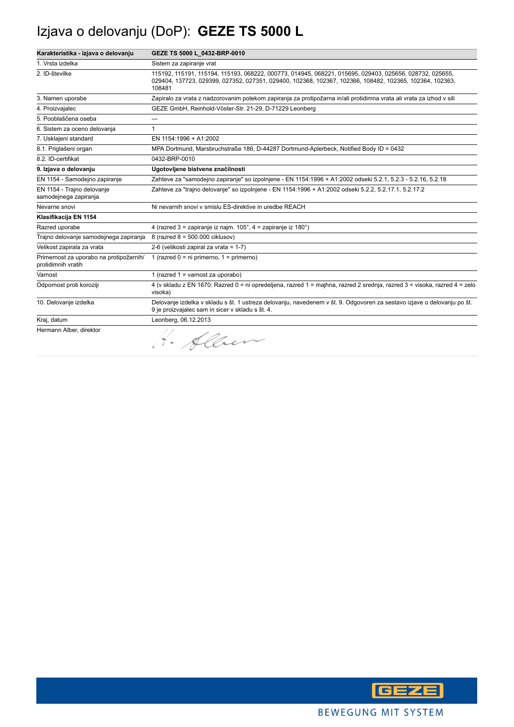# Izjava o delovanju (DoP): **GEZE TS 5000 L**

| Karakteristika - izjava o delovanju                           | GEZE TS 5000 L 0432-BRP-0010                                                                                                                                                                                                 |
|---------------------------------------------------------------|------------------------------------------------------------------------------------------------------------------------------------------------------------------------------------------------------------------------------|
| 1. Vrsta izdelka                                              | Sistem za zapiranje vrat                                                                                                                                                                                                     |
| 2. ID-številke                                                | 115192, 115191, 115194, 115193, 068222, 000773, 014945, 068221, 015695, 029403, 025656, 028732, 025655,<br>029404, 137723, 029399, 027352, 027351, 029400, 102368, 102367, 102366, 108482, 102365, 102364, 102363,<br>108481 |
| 3. Namen uporabe                                              | Zapiralo za vrata z nadzorovanim potekom zapiranja za protipožarna in/ali protidimna vrata ali vrata za izhod v sili                                                                                                         |
| 4. Proizvajalec                                               | GEZE GmbH, Reinhold-Vöster-Str. 21-29, D-71229 Leonberg                                                                                                                                                                      |
| 5. Pooblaščena oseba                                          | ---                                                                                                                                                                                                                          |
| 6. Sistem za oceno delovanja                                  | $\mathbf{1}$                                                                                                                                                                                                                 |
| 7. Usklajeni standard                                         | EN 1154:1996 + A1:2002                                                                                                                                                                                                       |
| 8.1. Priglašeni organ                                         | MPA Dortmund, Marsbruchstraße 186, D-44287 Dortmund-Aplerbeck, Notified Body ID = 0432                                                                                                                                       |
| 8.2. ID-certifikat                                            | 0432-BRP-0010                                                                                                                                                                                                                |
| 9. Izjava o delovanju                                         | Ugotovljene bistvene značilnosti                                                                                                                                                                                             |
| EN 1154 - Samodejno zapiranje                                 | Zahteve za "samodejno zapiranje" so izpolnjene - EN 1154:1996 + A1:2002 odseki 5.2.1, 5.2.3 - 5.2.16, 5.2.18                                                                                                                 |
| EN 1154 - Trajno delovanje<br>samodejnega zapiranja           | Zahteve za "trajno delovanje" so izpolnjene - EN 1154:1996 + A1:2002 odseki 5.2.2, 5.2.17.1, 5.2.17.2                                                                                                                        |
| Nevarne snovi                                                 | Ni nevarnih snovi v smislu ES-direktive in uredbe REACH                                                                                                                                                                      |
| Klasifikacija EN 1154                                         |                                                                                                                                                                                                                              |
| Razred uporabe                                                | 4 (razred 3 = zapiranje iz najm. $105^\circ$ , 4 = zapiranje iz $180^\circ$ )                                                                                                                                                |
| Trajno delovanje samodejnega zapiranja                        | 8 (razred 8 = 500.000 ciklusov)                                                                                                                                                                                              |
| Velikost zapirala za vrata                                    | 2-6 (velikosti zapiral za vrata = 1-7)                                                                                                                                                                                       |
| Primernost za uporabo na protipožarnih/<br>protidimnih vratih | 1 (razred $0 = ni$ primerno, $1 = prime$ rno)                                                                                                                                                                                |
| Varnost                                                       | 1 (razred 1 = varnost za uporabo)                                                                                                                                                                                            |
| Odpornost proti koroziji                                      | 4 (v skladu z EN 1670: Razred 0 = ni opredeljena, razred 1 = majhna, razred 2 srednja, razred 3 = visoka, razred 4 = zelo<br>visoka)                                                                                         |
| 10. Delovanje izdelka                                         | Delovanje izdelka v skladu s št. 1 ustreza delovanju, navedenem v št. 9. Odgovoren za sestavo izjave o delovanju po št.<br>9 je proizvajalec sam in sicer v skladu s št. 4.                                                  |
| Kraj, datum                                                   | Leonberg, 06.12.2013                                                                                                                                                                                                         |
| Hermann Alber, direktor                                       | · Alber                                                                                                                                                                                                                      |

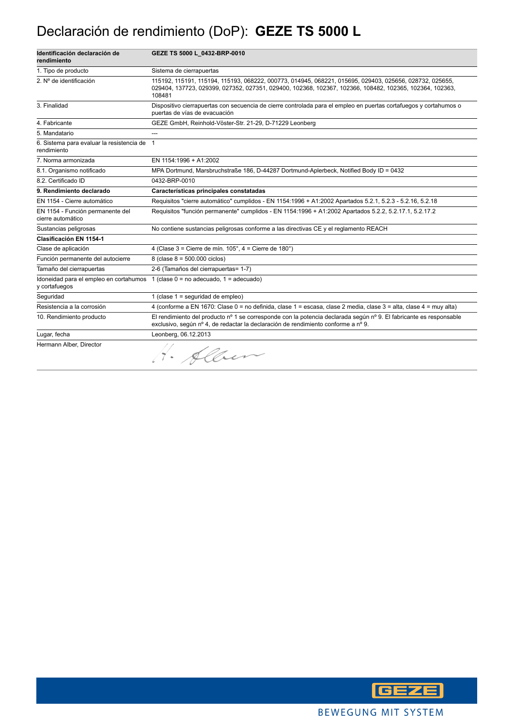### Declaración de rendimiento (DoP): **GEZE TS 5000 L**

| Identificación declaración de<br>rendimiento               | GEZE TS 5000 L_0432-BRP-0010                                                                                                                                                                                                 |
|------------------------------------------------------------|------------------------------------------------------------------------------------------------------------------------------------------------------------------------------------------------------------------------------|
| 1. Tipo de producto                                        | Sistema de cierrapuertas                                                                                                                                                                                                     |
| 2. Nº de identificación                                    | 115192, 115191, 115194, 115193, 068222, 000773, 014945, 068221, 015695, 029403, 025656, 028732, 025655,<br>029404, 137723, 029399, 027352, 027351, 029400, 102368, 102367, 102366, 108482, 102365, 102364, 102363,<br>108481 |
| 3. Finalidad                                               | Dispositivo cierrapuertas con secuencia de cierre controlada para el empleo en puertas cortafuegos y cortahumos o<br>puertas de vías de evacuación                                                                           |
| 4. Fabricante                                              | GEZE GmbH, Reinhold-Vöster-Str. 21-29, D-71229 Leonberg                                                                                                                                                                      |
| 5. Mandatario                                              | ---                                                                                                                                                                                                                          |
| 6. Sistema para evaluar la resistencia de 1<br>rendimiento |                                                                                                                                                                                                                              |
| 7. Norma armonizada                                        | EN 1154:1996 + A1:2002                                                                                                                                                                                                       |
| 8.1. Organismo notificado                                  | MPA Dortmund, Marsbruchstraße 186, D-44287 Dortmund-Aplerbeck, Notified Body ID = 0432                                                                                                                                       |
| 8.2. Certificado ID                                        | 0432-BRP-0010                                                                                                                                                                                                                |
| 9. Rendimiento declarado                                   | Características principales constatadas                                                                                                                                                                                      |
| EN 1154 - Cierre automático                                | Requisitos "cierre automático" cumplidos - EN 1154:1996 + A1:2002 Apartados 5.2.1, 5.2.3 - 5.2.16, 5.2.18                                                                                                                    |
| EN 1154 - Función permanente del<br>cierre automático      | Requisitos "función permanente" cumplidos - EN 1154:1996 + A1:2002 Apartados 5.2.2, 5.2.17.1, 5.2.17.2                                                                                                                       |
| Sustancias peligrosas                                      | No contiene sustancias peligrosas conforme a las directivas CE y el reglamento REACH                                                                                                                                         |
| Clasificación EN 1154-1                                    |                                                                                                                                                                                                                              |
| Clase de aplicación                                        | 4 (Clase $3 =$ Cierre de mín. $105^\circ$ , $4 =$ Cierre de $180^\circ$ )                                                                                                                                                    |
| Función permanente del autocierre                          | $8$ (clase $8 = 500.000$ ciclos)                                                                                                                                                                                             |
| Tamaño del cierrapuertas                                   | 2-6 (Tamaños del cierrapuertas= 1-7)                                                                                                                                                                                         |
| Idoneidad para el empleo en cortahumos<br>y cortafuegos    | 1 (clase $0 = no$ adecuado, $1 =$ adecuado)                                                                                                                                                                                  |
| Sequridad                                                  | 1 (clase 1 = seguridad de empleo)                                                                                                                                                                                            |
| Resistencia a la corrosión                                 | 4 (conforme a EN 1670: Clase 0 = no definida, clase 1 = escasa, clase 2 media, clase 3 = alta, clase 4 = muy alta)                                                                                                           |
| 10. Rendimiento producto                                   | El rendimiento del producto nº 1 se corresponde con la potencia declarada según nº 9. El fabricante es responsable<br>exclusivo, según nº 4, de redactar la declaración de rendimiento conforme a nº 9.                      |
| Lugar, fecha                                               | Leonberg, 06.12.2013                                                                                                                                                                                                         |
| Hermann Alber, Director                                    | 1. Alber                                                                                                                                                                                                                     |

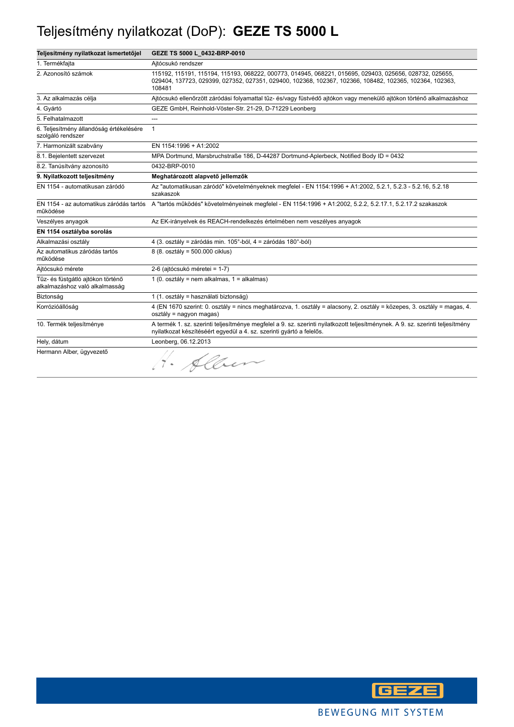# Teljesítmény nyilatkozat (DoP): **GEZE TS 5000 L**

| Teljesítmény nyilatkozat ismertetőjel                               | GEZE TS 5000 L_0432-BRP-0010                                                                                                                                                                                                 |
|---------------------------------------------------------------------|------------------------------------------------------------------------------------------------------------------------------------------------------------------------------------------------------------------------------|
| 1. Termékfajta                                                      | Ajtócsukó rendszer                                                                                                                                                                                                           |
| 2. Azonosító számok                                                 | 115192, 115191, 115194, 115193, 068222, 000773, 014945, 068221, 015695, 029403, 025656, 028732, 025655,<br>029404, 137723, 029399, 027352, 027351, 029400, 102368, 102367, 102366, 108482, 102365, 102364, 102363,<br>108481 |
| 3. Az alkalmazás célja                                              | Ajtócsukó ellenőrzött záródási folyamattal tűz- és/vagy füstvédő ajtókon vagy menekülő ajtókon történő alkalmazáshoz                                                                                                         |
| 4. Gyártó                                                           | GEZE GmbH, Reinhold-Vöster-Str. 21-29, D-71229 Leonberg                                                                                                                                                                      |
| 5. Felhatalmazott                                                   | ---                                                                                                                                                                                                                          |
| 6. Teljesítmény állandóság értékelésére<br>szolgáló rendszer        | $\mathbf{1}$                                                                                                                                                                                                                 |
| 7. Harmonizált szabvány                                             | EN 1154:1996 + A1:2002                                                                                                                                                                                                       |
| 8.1. Bejelentett szervezet                                          | MPA Dortmund, Marsbruchstraße 186, D-44287 Dortmund-Aplerbeck, Notified Body ID = 0432                                                                                                                                       |
| 8.2. Tanúsítvány azonosító                                          | 0432-BRP-0010                                                                                                                                                                                                                |
| 9. Nyilatkozott teljesítmény                                        | Meghatározott alapvető jellemzők                                                                                                                                                                                             |
| EN 1154 - automatikusan záródó                                      | Az "automatikusan záródó" követelményeknek megfelel - EN 1154:1996 + A1:2002, 5.2.1, 5.2.3 - 5.2.16, 5.2.18<br>szakaszok                                                                                                     |
| működése                                                            | EN 1154 - az automatikus záródás tartós A "tartós működés" követelményeinek megfelel - EN 1154:1996 + A1:2002, 5.2.2, 5.2.17.1, 5.2.17.2 szakaszok                                                                           |
| Veszélyes anyagok                                                   | Az EK-irányelvek és REACH-rendelkezés értelmében nem veszélyes anyagok                                                                                                                                                       |
| EN 1154 osztályba sorolás                                           |                                                                                                                                                                                                                              |
| Alkalmazási osztály                                                 | 4 (3. osztály = záródás min. 105°-ból, 4 = záródás 180°-ból)                                                                                                                                                                 |
| Az automatikus záródás tartós<br>működése                           | 8 (8. osztály = 500.000 ciklus)                                                                                                                                                                                              |
| Aitócsukó mérete                                                    | 2-6 (ajtócsukó méretei = 1-7)                                                                                                                                                                                                |
| Tűz- és füstgátló ajtókon történő<br>alkalmazáshoz való alkalmasság | 1 (0. osztály = nem alkalmas, 1 = alkalmas)                                                                                                                                                                                  |
| Biztonság                                                           | 1 (1. osztály = használati biztonság)                                                                                                                                                                                        |
| Korrózióállóság                                                     | 4 (EN 1670 szerint: 0. osztály = nincs meghatározva, 1. osztály = alacsony, 2. osztály = közepes, 3. osztály = magas, 4.<br>osztály = nagyon magas)                                                                          |
| 10. Termék teljesítménye                                            | A termék 1. sz. szerinti teljesítménye megfelel a 9. sz. szerinti nyilatkozott teljesítménynek. A 9. sz. szerinti teljesítmény<br>nyilatkozat készítéséért egyedül a 4. sz. szerinti gyártó a felelős.                       |
| Hely, dátum                                                         | Leonberg, 06.12.2013                                                                                                                                                                                                         |
| Hermann Alber, ügyvezető                                            | 1. Alben                                                                                                                                                                                                                     |

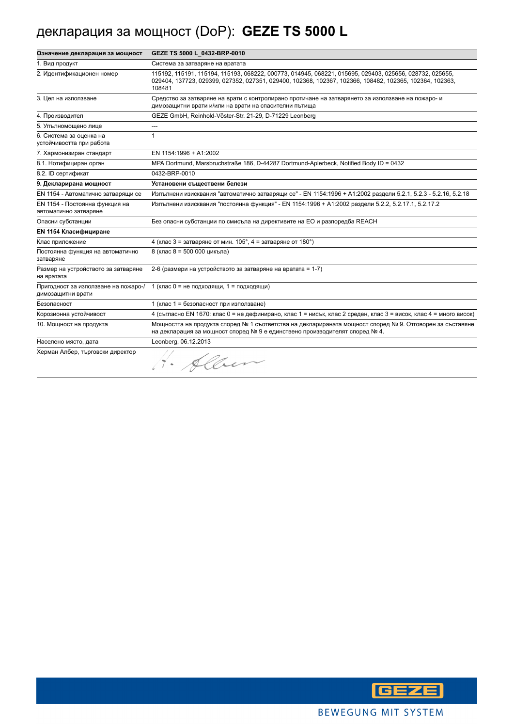# декларация за мощност (DoP): **GEZE TS 5000 L**

| Означение декларация за мощност                           | GEZE TS 5000 L_0432-BRP-0010                                                                                                                                                                                                 |
|-----------------------------------------------------------|------------------------------------------------------------------------------------------------------------------------------------------------------------------------------------------------------------------------------|
| 1. Вид продукт                                            | Система за затваряне на вратата                                                                                                                                                                                              |
| 2. Идентификационен номер                                 | 115192, 115191, 115194, 115193, 068222, 000773, 014945, 068221, 015695, 029403, 025656, 028732, 025655,<br>029404, 137723, 029399, 027352, 027351, 029400, 102368, 102367, 102366, 108482, 102365, 102364, 102363,<br>108481 |
| 3. Цел на използване                                      | Средство за затваряне на врати с контролирано протичане на затварянето за използване на пожаро- и<br>димозащитни врати и/или на врати на спасителни пътища                                                                   |
| 4. Производител                                           | GEZE GmbH, Reinhold-Vöster-Str. 21-29, D-71229 Leonberg                                                                                                                                                                      |
| 5. Упълномощено лице                                      | ---                                                                                                                                                                                                                          |
| 6. Система за оценка на<br>устойчивостта при работа       | 1                                                                                                                                                                                                                            |
| 7. Хармонизиран стандарт                                  | EN 1154:1996 + A1:2002                                                                                                                                                                                                       |
| 8.1. Нотифициран орган                                    | MPA Dortmund, Marsbruchstraße 186, D-44287 Dortmund-Aplerbeck, Notified Body ID = 0432                                                                                                                                       |
| 8.2. ID сертификат                                        | 0432-BRP-0010                                                                                                                                                                                                                |
| 9. Декларирана мощност                                    | Установени съществени белези                                                                                                                                                                                                 |
| EN 1154 - Автоматично затварящи се                        | Изпълнени изисквания "автоматично затварящи се" - EN 1154:1996 + A1:2002 раздели 5.2.1, 5.2.3 - 5.2.16, 5.2.18                                                                                                               |
| EN 1154 - Постоянна функция на<br>автоматично затваряне   | Изпълнени изисквания "постоянна функция" - EN 1154:1996 + A1:2002 раздели 5.2.2, 5.2.17.1, 5.2.17.2                                                                                                                          |
| Опасни субстанции                                         | Без опасни субстанции по смисъла на директивите на ЕО и разпоредба REACH                                                                                                                                                     |
| <b>EN 1154 Класифициране</b>                              |                                                                                                                                                                                                                              |
| Клас приложение                                           | 4 (клас 3 = затваряне от мин. $105^\circ$ , 4 = затваряне от $180^\circ$ )                                                                                                                                                   |
| Постоянна функция на автоматично<br>затваряне             | 8 (клас 8 = 500 000 цикъла)                                                                                                                                                                                                  |
| Размер на устройството за затваряне<br>на вратата         | 2-6 (размери на устройството за затваряне на вратата = 1-7)                                                                                                                                                                  |
| Пригодност за използване на пожаро-/<br>димозащитни врати | 1 (клас 0 = не подходящи, 1 = подходящи)                                                                                                                                                                                     |
| Безопасност                                               | 1 (клас 1 = безопасност при използване)                                                                                                                                                                                      |
| Корозионна устойчивост                                    | 4 (съгласно EN 1670: клас 0 = не дефинирано, клас 1 = нисък, клас 2 среден, клас 3 = висок, клас 4 = много висок)                                                                                                            |
| 10. Мощност на продукта                                   | Мощността на продукта според № 1 съответства на декларираната мощност според № 9. Отговорен за съставяне<br>на декларация за мощност според № 9 е единствено производителят според № 4.                                      |
| Населено място, дата                                      | Leonberg, 06.12.2013                                                                                                                                                                                                         |
| Херман Албер, търговски директор                          | Alben                                                                                                                                                                                                                        |

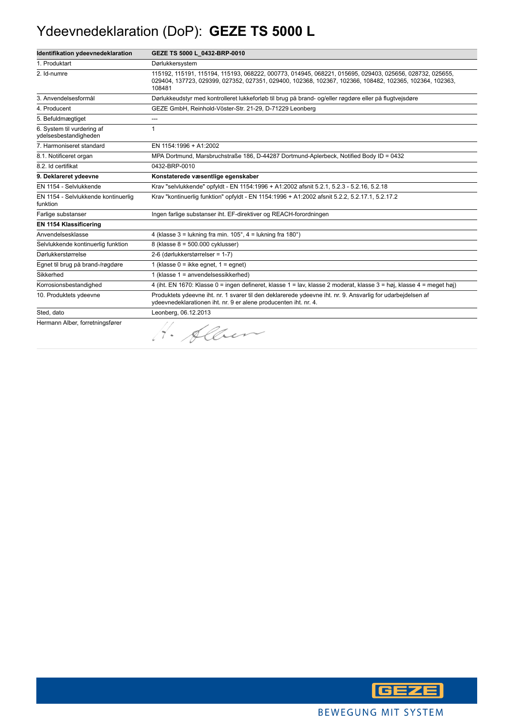### Ydeevnedeklaration (DoP): **GEZE TS 5000 L**

| Identifikation ydeevnedeklaration                   | GEZE TS 5000 L_0432-BRP-0010                                                                                                                                                                                                 |
|-----------------------------------------------------|------------------------------------------------------------------------------------------------------------------------------------------------------------------------------------------------------------------------------|
| 1. Produktart                                       | Dørlukkersystem                                                                                                                                                                                                              |
| 2. Id-numre                                         | 115192, 115191, 115194, 115193, 068222, 000773, 014945, 068221, 015695, 029403, 025656, 028732, 025655,<br>029404, 137723, 029399, 027352, 027351, 029400, 102368, 102367, 102366, 108482, 102365, 102364, 102363,<br>108481 |
| 3. Anvendelsesformål                                | Dørlukkeudstyr med kontrolleret lukkeforløb til brug på brand- og/eller røgdøre eller på flugtvejsdøre                                                                                                                       |
| 4. Producent                                        | GEZE GmbH, Reinhold-Vöster-Str. 21-29, D-71229 Leonberg                                                                                                                                                                      |
| 5. Befuldmægtiget                                   | ---                                                                                                                                                                                                                          |
| 6. System til vurdering af<br>ydelsesbestandigheden | 1                                                                                                                                                                                                                            |
| 7. Harmoniseret standard                            | EN 1154:1996 + A1:2002                                                                                                                                                                                                       |
| 8.1. Notificeret organ                              | MPA Dortmund, Marsbruchstraße 186, D-44287 Dortmund-Aplerbeck, Notified Body ID = 0432                                                                                                                                       |
| 8.2. Id certifikat                                  | 0432-BRP-0010                                                                                                                                                                                                                |
| 9. Deklareret ydeevne                               | Konstaterede væsentlige egenskaber                                                                                                                                                                                           |
| EN 1154 - Selvlukkende                              | Krav "selvlukkende" opfyldt - EN 1154:1996 + A1:2002 afsnit 5.2.1, 5.2.3 - 5.2.16, 5.2.18                                                                                                                                    |
| EN 1154 - Selvlukkende kontinuerlig<br>funktion     | Krav "kontinuerlig funktion" opfyldt - EN 1154:1996 + A1:2002 afsnit 5.2.2, 5.2.17.1, 5.2.17.2                                                                                                                               |
| Farlige substanser                                  | Ingen farlige substanser iht. EF-direktiver og REACH-forordningen                                                                                                                                                            |
| EN 1154 Klassificering                              |                                                                                                                                                                                                                              |
| Anvendelsesklasse                                   | 4 (klasse $3 =$ lukning fra min. $105^\circ$ , $4 =$ lukning fra $180^\circ$ )                                                                                                                                               |
| Selvlukkende kontinuerlig funktion                  | 8 (klasse 8 = 500.000 cyklusser)                                                                                                                                                                                             |
| Dørlukkerstørrelse                                  | 2-6 (dørlukkerstørrelser = 1-7)                                                                                                                                                                                              |
| Egnet til brug på brand-/røgdøre                    | 1 (klasse $0 =$ ikke eqnet, $1 =$ eqnet)                                                                                                                                                                                     |
| Sikkerhed                                           | 1 (klasse 1 = anvendelsessikkerhed)                                                                                                                                                                                          |
| Korrosionsbestandighed                              | 4 (iht. EN 1670: Klasse 0 = ingen defineret, klasse 1 = lav, klasse 2 moderat, klasse 3 = høj, klasse 4 = meget høj)                                                                                                         |
| 10. Produktets ydeevne                              | Produktets ydeevne iht. nr. 1 svarer til den deklarerede ydeevne iht. nr. 9. Ansvarlig for udarbejdelsen af<br>ydeevnedeklarationen iht. nr. 9 er alene producenten iht. nr. 4.                                              |
| Sted, dato                                          | Leonberg, 06.12.2013                                                                                                                                                                                                         |
| Hermann Alber, forretningsfører                     | 1. Alben                                                                                                                                                                                                                     |

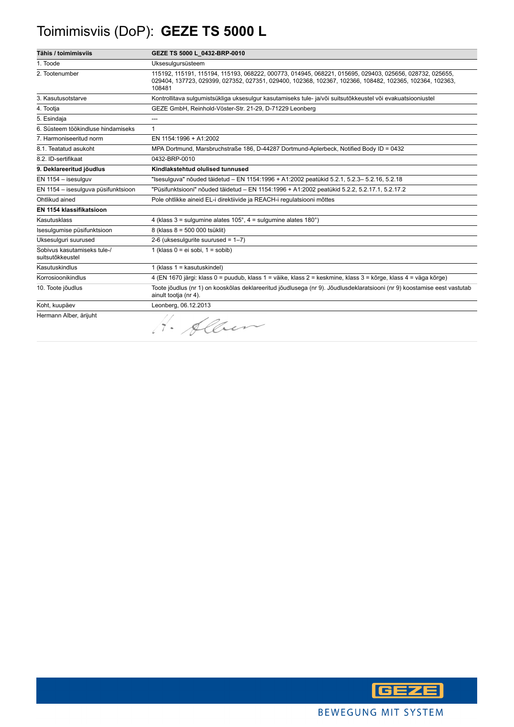# Toimimisviis (DoP): **GEZE TS 5000 L**

| Tähis / toimimisviis                            | GEZE TS 5000 L_0432-BRP-0010                                                                                                                                                                                                 |
|-------------------------------------------------|------------------------------------------------------------------------------------------------------------------------------------------------------------------------------------------------------------------------------|
| 1. Toode                                        | Uksesulgursüsteem                                                                                                                                                                                                            |
| 2. Tootenumber                                  | 115192, 115191, 115194, 115193, 068222, 000773, 014945, 068221, 015695, 029403, 025656, 028732, 025655,<br>029404, 137723, 029399, 027352, 027351, 029400, 102368, 102367, 102366, 108482, 102365, 102364, 102363,<br>108481 |
| 3. Kasutusotstarve                              | Kontrollitava sulgumistsükliga uksesulgur kasutamiseks tule- ja/või suitsutõkkeustel või evakuatsiooniustel                                                                                                                  |
| 4. Tootja                                       | GEZE GmbH, Reinhold-Vöster-Str. 21-29, D-71229 Leonberg                                                                                                                                                                      |
| 5. Esindaja                                     | ---                                                                                                                                                                                                                          |
| 6. Süsteem töökindluse hindamiseks              | $\mathbf{1}$                                                                                                                                                                                                                 |
| 7. Harmoniseeritud norm                         | EN 1154:1996 + A1:2002                                                                                                                                                                                                       |
| 8.1. Teatatud asukoht                           | MPA Dortmund, Marsbruchstraße 186, D-44287 Dortmund-Aplerbeck, Notified Body ID = 0432                                                                                                                                       |
| 8.2. ID-sertifikaat                             | 0432-BRP-0010                                                                                                                                                                                                                |
| 9. Deklareeritud jõudlus                        | Kindlakstehtud olulised tunnused                                                                                                                                                                                             |
| EN 1154 - isesulguv                             | "Isesulguva" nõuded täidetud – EN 1154:1996 + A1:2002 peatükid 5.2.1, 5.2.3– 5.2.16, 5.2.18                                                                                                                                  |
| EN 1154 - isesulguva püsifunktsioon             | "Püsifunktsiooni" nõuded täidetud - EN 1154:1996 + A1:2002 peatükid 5.2.2, 5.2.17.1, 5.2.17.2                                                                                                                                |
| Ohtlikud ained                                  | Pole ohtlikke aineid EL-i direktiivide ja REACH-i regulatsiooni mõttes                                                                                                                                                       |
| EN 1154 klassifikatsioon                        |                                                                                                                                                                                                                              |
| Kasutusklass                                    | 4 (klass $3 =$ sulgumine alates $105^\circ$ , $4 =$ sulgumine alates $180^\circ$ )                                                                                                                                           |
| Isesulgumise püsifunktsioon                     | 8 (klass 8 = 500 000 tsüklit)                                                                                                                                                                                                |
| Uksesulguri suurused                            | 2-6 (uksesulgurite suurused = $1-7$ )                                                                                                                                                                                        |
| Sobivus kasutamiseks tule-/<br>suitsutõkkeustel | 1 (klass $0 = ei$ sobi, $1 =$ sobib)                                                                                                                                                                                         |
| Kasutuskindlus                                  | 1 (klass $1 =$ kasutuskindel)                                                                                                                                                                                                |
| Korrosioonikindlus                              | 4 (EN 1670 järgi: klass 0 = puudub, klass 1 = väike, klass 2 = keskmine, klass 3 = kõrge, klass 4 = väga kõrge)                                                                                                              |
| 10. Toote jõudlus                               | Toote jõudlus (nr 1) on kooskõlas deklareeritud jõudlusega (nr 9). Jõudlusdeklaratsiooni (nr 9) koostamise eest vastutab<br>ainult tootja (nr 4).                                                                            |
| Koht, kuupäev                                   | Leonberg, 06.12.2013                                                                                                                                                                                                         |
| Hermann Alber, ärijuht                          | 1. Alber                                                                                                                                                                                                                     |

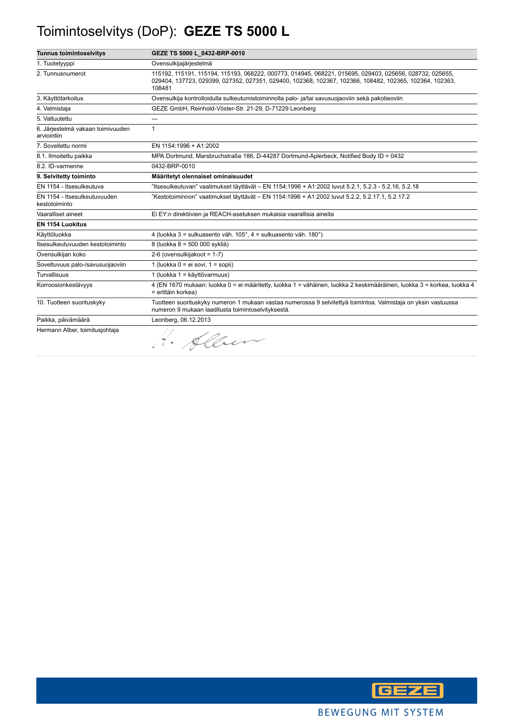# Toimintoselvitys (DoP): **GEZE TS 5000 L**

| <b>Tunnus toimintoselvitys</b>                   | GEZE TS 5000 L 0432-BRP-0010                                                                                                                                                                                                 |
|--------------------------------------------------|------------------------------------------------------------------------------------------------------------------------------------------------------------------------------------------------------------------------------|
| 1. Tuotetyyppi                                   | Ovensulkijajärjestelmä                                                                                                                                                                                                       |
| 2. Tunnusnumerot                                 | 115192, 115191, 115194, 115193, 068222, 000773, 014945, 068221, 015695, 029403, 025656, 028732, 025655,<br>029404, 137723, 029399, 027352, 027351, 029400, 102368, 102367, 102366, 108482, 102365, 102364, 102363,<br>108481 |
| 3. Käyttötarkoitus                               | Ovensulkija kontrolloidulla sulkeutumistoiminnolla palo- ja/tai savusuojaoviin sekä pakotieoviin                                                                                                                             |
| 4. Valmistaja                                    | GEZE GmbH, Reinhold-Vöster-Str. 21-29, D-71229 Leonberg                                                                                                                                                                      |
| 5. Valtuutettu                                   |                                                                                                                                                                                                                              |
| 6. Järjestelmä vakaan toimivuuden<br>arviointiin | $\mathbf{1}$                                                                                                                                                                                                                 |
| 7. Sovellettu normi                              | EN 1154:1996 + A1:2002                                                                                                                                                                                                       |
| 8.1. Ilmoitettu paikka                           | MPA Dortmund, Marsbruchstraße 186, D-44287 Dortmund-Aplerbeck, Notified Body ID = 0432                                                                                                                                       |
| 8.2. ID-varmenne                                 | 0432-BRP-0010                                                                                                                                                                                                                |
| 9. Selvitetty toiminto                           | Määritetyt olennaiset ominaisuudet                                                                                                                                                                                           |
| EN 1154 - Itsesulkeutuva                         | "Itsesulkeutuvan" vaatimukset täyttävät - EN 1154:1996 + A1:2002 luvut 5.2.1, 5.2.3 - 5.2.16, 5.2.18                                                                                                                         |
| EN 1154 - Itsesulkeutuvuuden<br>kestotoiminto    | "Kestotoiminnon" vaatimukset täyttävät – EN 1154:1996 + A1:2002 luvut 5.2.2, 5.2.17.1, 5.2.17.2                                                                                                                              |
| Vaaralliset aineet                               | Ei EY:n direktiivien ja REACH-asetuksen mukaisia vaarallisia aineita                                                                                                                                                         |
| <b>EN 1154 Luokitus</b>                          |                                                                                                                                                                                                                              |
| Käyttöluokka                                     | 4 (luokka 3 = sulkuasento väh. 105°, 4 = sulkuasento väh. 180°)                                                                                                                                                              |
| Itsesulkeutuvuuden kestotoiminto                 | 8 (luokka 8 = 500 000 sykliä)                                                                                                                                                                                                |
| Ovensulkijan koko                                | 2-6 (ovensulkijakoot = 1-7)                                                                                                                                                                                                  |
| Soveltuvuus palo-/savusuojaoviin                 | 1 (luokka $0 = ei$ sovi, $1 = sopii$ )                                                                                                                                                                                       |
| <b>Turvallisuus</b>                              | 1 (luokka 1 = käyttövarmuus)                                                                                                                                                                                                 |
| Korroosionkestävyys                              | 4 (EN 1670 mukaan: luokka 0 = ei määritetty, luokka 1 = vähäinen, luokka 2 keskimääräinen, luokka 3 = korkea, luokka 4<br>= erittäin korkea)                                                                                 |
| 10. Tuotteen suorituskyky                        | Tuotteen suorituskyky numeron 1 mukaan vastaa numerossa 9 selvitettyä toimintoa. Valmistaja on yksin vastuussa<br>numeron 9 mukaan laaditusta toimintoselvityksestä.                                                         |
| Paikka, päivämäärä                               | Leonberg, 06.12.2013                                                                                                                                                                                                         |
| Hermann Alber, toimitusjohtaja                   | 1. Alber                                                                                                                                                                                                                     |

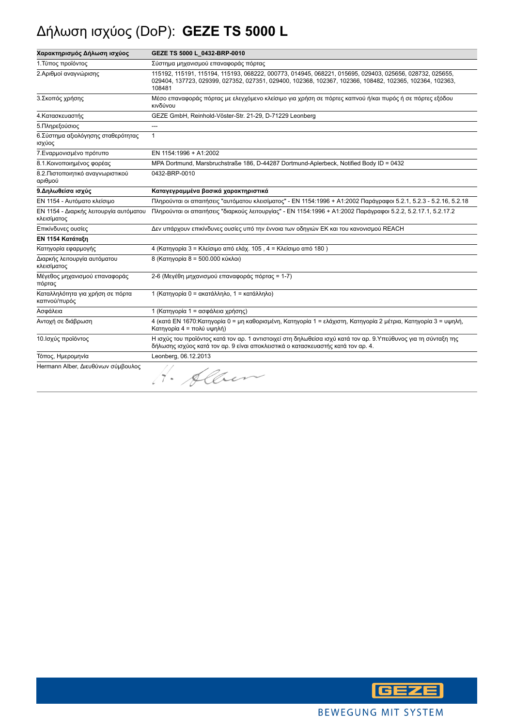# Δήλωση ισχύος (DoP): **GEZE TS 5000 L**

| Χαρακτηρισμός Δήλωση ισχύος                           | GEZE TS 5000 L_0432-BRP-0010                                                                                                                                                                                                 |
|-------------------------------------------------------|------------------------------------------------------------------------------------------------------------------------------------------------------------------------------------------------------------------------------|
| 1. Τύπος προϊόντος                                    | Σύστημα μηχανισμού επαναφοράς πόρτας                                                                                                                                                                                         |
| 2.Αριθμοί αναγνώρισης                                 | 115192, 115191, 115194, 115193, 068222, 000773, 014945, 068221, 015695, 029403, 025656, 028732, 025655,<br>029404, 137723, 029399, 027352, 027351, 029400, 102368, 102367, 102366, 108482, 102365, 102364, 102363,<br>108481 |
| 3. Σκοπός χρήσης                                      | Μέσο επαναφοράς πόρτας με ελεγχόμενο κλείσιμο για χρήση σε πόρτες καπνού ή/και πυρός ή σε πόρτες εξόδου<br>κινδύνου                                                                                                          |
| 4. Κατασκευαστής                                      | GEZE GmbH, Reinhold-Vöster-Str. 21-29, D-71229 Leonberg                                                                                                                                                                      |
| 5. Πληρεξούσιος                                       | ---                                                                                                                                                                                                                          |
| 6. Σύστημα αξιολόγησης σταθερότητας<br>ισχύος         | $\mathbf{1}$                                                                                                                                                                                                                 |
| 7. Εναρμονισμένο πρότυπο                              | EN 1154:1996 + A1:2002                                                                                                                                                                                                       |
| 8.1. Κοινοποιημένος φορέας                            | MPA Dortmund, Marsbruchstraße 186, D-44287 Dortmund-Aplerbeck, Notified Body ID = 0432                                                                                                                                       |
| 8.2. Πιστοποιητικό αναγνωριστικού<br>αριθμού          | 0432-BRP-0010                                                                                                                                                                                                                |
| 9. Δηλωθείσα ισχύς                                    | Καταγεγραμμένα βασικά χαρακτηριστικά                                                                                                                                                                                         |
| ΕΝ 1154 - Αυτόματο κλείσιμο                           | Πληρούνται οι απαιτήσεις "αυτόματου κλεισίματος" - ΕΝ 1154:1996 + Α1:2002 Παράγραφοι 5.2.1, 5.2.3 - 5.2.16, 5.2.18                                                                                                           |
| ΕΝ 1154 - Διαρκής λειτουργία αυτόματου<br>κλεισίματος | Πληρούνται οι απαιτήσεις "διαρκούς λειτουργίας" - ΕΝ 1154:1996 + Α1:2002 Παράγραφοι 5.2.2, 5.2.17.1, 5.2.17.2                                                                                                                |
| Επικίνδυνες ουσίες                                    | Δεν υπάρχουν επικίνδυνες ουσίες υπό την έννοια των οδηγιών ΕΚ και του κανονισμού REACH                                                                                                                                       |
| ΕΝ 1154 Κατάταξη                                      |                                                                                                                                                                                                                              |
| Κατηγορία εφαρμογής                                   | 4 (Κατηγορία 3 = Κλείσιμο από ελάχ. 105, 4 = Κλείσιμο από 180)                                                                                                                                                               |
| Διαρκής λειτουργία αυτόματου<br>κλεισίματος           | 8 (Κατηγορία 8 = 500.000 κύκλοι)                                                                                                                                                                                             |
| Μέγεθος μηχανισμού επαναφοράς<br>πόρτας               | 2-6 (Μεγέθη μηχανισμού επαναφοράς πόρτας = 1-7)                                                                                                                                                                              |
| Καταλληλότητα για χρήση σε πόρτα<br>καπνού/πυρός      | 1 (Κατηγορία 0 = ακατάλληλο, 1 = κατάλληλο)                                                                                                                                                                                  |
| Ασφάλεια                                              | 1 (Κατηγορία 1 = ασφάλεια χρήσης)                                                                                                                                                                                            |
| Αντοχή σε διάβρωση                                    | 4 (κατά ΕΝ 1670: Κατηγορία 0 = μη καθορισμένη, Κατηγορία 1 = ελάχιστη, Κατηγορία 2 μέτρια, Κατηγορία 3 = υψηλή,<br>Κατηγορία 4 = πολύ υψηλή)                                                                                 |
| 10. Ισχύς προϊόντος                                   | Η ισχύς του προϊόντος κατά τον αρ. 1 αντιστοιχεί στη δηλωθείσα ισχύ κατά τον αρ. 9.Υπεύθυνος για τη σύνταξη της<br>δήλωσης ισχύος κατά τον αρ. 9 είναι αποκλειστικά ο κατασκευαστής κατά τον αρ. 4.                          |
| Τόπος, Ημερομηνία                                     | Leonberg, 06.12.2013                                                                                                                                                                                                         |
| Hermann Alber, Διευθύνων σύμβουλος                    | H. Alben                                                                                                                                                                                                                     |

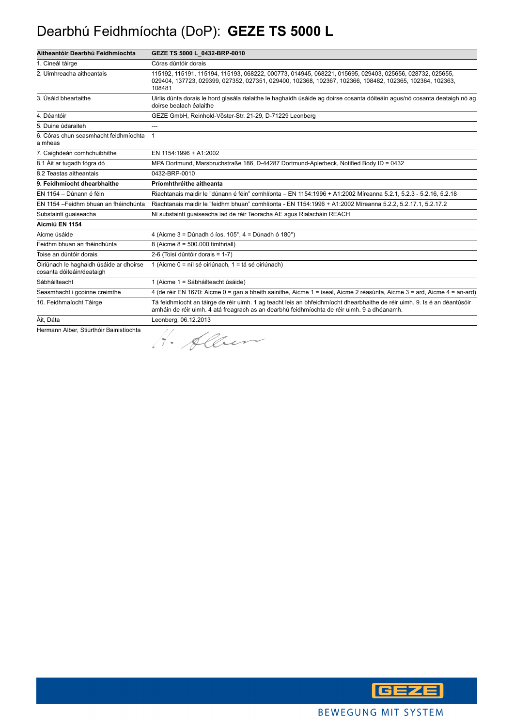#### Dearbhú Feidhmíochta (DoP): **GEZE TS 5000 L**

| Aitheantóir Dearbhú Feidhmíochta                                     | GEZE TS 5000 L_0432-BRP-0010                                                                                                                                                                                                 |
|----------------------------------------------------------------------|------------------------------------------------------------------------------------------------------------------------------------------------------------------------------------------------------------------------------|
| 1. Cineál táirge                                                     | Córas dúntóir dorais                                                                                                                                                                                                         |
| 2. Uimhreacha aitheantais                                            | 115192, 115191, 115194, 115193, 068222, 000773, 014945, 068221, 015695, 029403, 025656, 028732, 025655,<br>029404, 137723, 029399, 027352, 027351, 029400, 102368, 102367, 102366, 108482, 102365, 102364, 102363,<br>108481 |
| 3. Úsáid bheartaithe                                                 | Uirlis dúnta dorais le hord glasála rialaithe le haghaidh úsáide ag doirse cosanta dóiteáin agus/nó cosanta deataigh nó ag<br>doirse bealach éalaithe                                                                        |
| 4. Déantóir                                                          | GEZE GmbH, Reinhold-Vöster-Str. 21-29, D-71229 Leonberg                                                                                                                                                                      |
| 5. Duine údaraiteh                                                   |                                                                                                                                                                                                                              |
| 6. Córas chun seasmhacht feidhmíochta<br>a mheas                     | $\overline{1}$                                                                                                                                                                                                               |
| 7. Caighdeán comhchuibhithe                                          | EN 1154:1996 + A1:2002                                                                                                                                                                                                       |
| 8.1 Áit ar tugadh fógra dó                                           | MPA Dortmund, Marsbruchstraße 186, D-44287 Dortmund-Aplerbeck, Notified Body ID = 0432                                                                                                                                       |
| 8.2 Teastas aitheantais                                              | 0432-BRP-0010                                                                                                                                                                                                                |
| 9. Feidhmíocht dhearbhaithe                                          | Príomhthréithe aitheanta                                                                                                                                                                                                     |
| EN 1154 - Dúnann é féin                                              | Riachtanais maidir le "dúnann é féin" comhlíonta – EN 1154:1996 + A1:2002 Míreanna 5.2.1. 5.2.3 - 5.2.16, 5.2.18                                                                                                             |
| EN 1154 - Feidhm bhuan an fhéindhúnta                                | Riachtanais maidir le "feidhm bhuan" comhlíonta - EN 1154:1996 + A1:2002 Míreanna 5.2.2, 5.2.17.1, 5.2.17.2                                                                                                                  |
| Substaintí quaiseacha                                                | Ní substaintí quaiseacha iad de réir Teoracha AE agus Rialacháin REACH                                                                                                                                                       |
| Aicmiú EN 1154                                                       |                                                                                                                                                                                                                              |
| Aicme úsáide                                                         | 4 (Aicme $3 =$ Dúnadh ó íos. $105^\circ$ , $4 =$ Dúnadh ó $180^\circ$ )                                                                                                                                                      |
| Feidhm bhuan an fhéindhúnta                                          | 8 (Aicme 8 = 500.000 timthriall)                                                                                                                                                                                             |
| Toise an dúntóir dorais                                              | 2-6 (Toisí dúntóir dorais = 1-7)                                                                                                                                                                                             |
| Oiriúnach le haghaidh úsáide ar dhoirse<br>cosanta dóiteáin/deataigh | 1 (Aicme 0 = níl sé oiriúnach, 1 = tá sé oiriúnach)                                                                                                                                                                          |
| Sábháilteacht                                                        | 1 (Aicme 1 = Sábháilteacht úsáide)                                                                                                                                                                                           |
| Seasmhacht i gcoinne creimthe                                        | 4 (de réir EN 1670: Aicme 0 = gan a bheith sainithe, Aicme 1 = íseal, Aicme 2 réasúnta, Aicme 3 = ard, Aicme 4 = an-ard)                                                                                                     |
| 10. Feidhmaíocht Táirge                                              | Tá feidhmíocht an táirge de réir uimh. 1 ag teacht leis an bhfeidhmíocht dhearbhaithe de réir uimh. 9. Is é an déantúsóir<br>amháin de réir uimh. 4 atá freagrach as an dearbhú feidhmíochta de réir uimh. 9 a dhéanamh.     |
| Áit, Dáta                                                            | Leonberg, 06.12.2013                                                                                                                                                                                                         |
| Hermann Alber, Stiúrthóir Bainistíochta                              | 1. Alber                                                                                                                                                                                                                     |

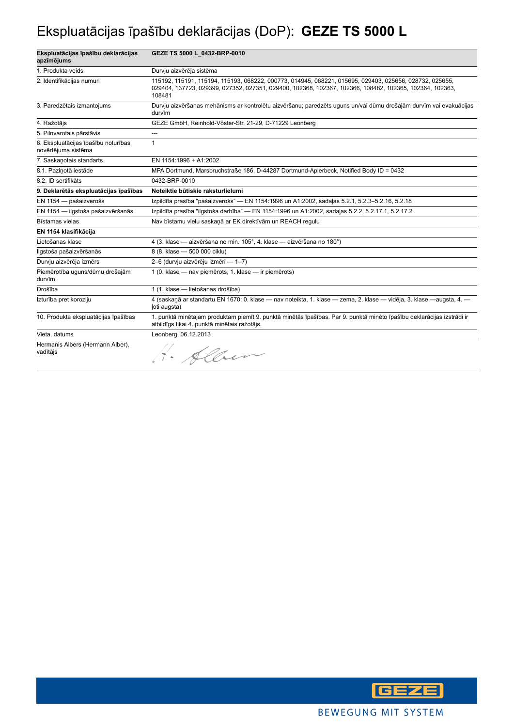### Ekspluatācijas īpašību deklarācijas (DoP): **GEZE TS 5000 L**

| Ekspluatācijas īpašību deklarācijas<br>apzīmējums          | GEZE TS 5000 L_0432-BRP-0010                                                                                                                                                                                                 |
|------------------------------------------------------------|------------------------------------------------------------------------------------------------------------------------------------------------------------------------------------------------------------------------------|
| 1. Produkta veids                                          | Durvju aizvērēja sistēma                                                                                                                                                                                                     |
| 2. Identifikācijas numuri                                  | 115192, 115191, 115194, 115193, 068222, 000773, 014945, 068221, 015695, 029403, 025656, 028732, 025655,<br>029404, 137723, 029399, 027352, 027351, 029400, 102368, 102367, 102366, 108482, 102365, 102364, 102363,<br>108481 |
| 3. Paredzētais izmantojums                                 | Durvju aizvēršanas mehānisms ar kontrolētu aizvēršanu; paredzēts uguns un/vai dūmu drošajām durvīm vai evakuācijas<br>durvīm                                                                                                 |
| 4. Ražotājs                                                | GEZE GmbH, Reinhold-Vöster-Str. 21-29, D-71229 Leonberg                                                                                                                                                                      |
| 5. Pilnvarotais pārstāvis                                  | ---                                                                                                                                                                                                                          |
| 6. Ekspluatācijas īpašību noturības<br>novērtējuma sistēma | 1                                                                                                                                                                                                                            |
| 7. Saskanotais standarts                                   | EN 1154:1996 + A1:2002                                                                                                                                                                                                       |
| 8.1. Pazinotā iestāde                                      | MPA Dortmund, Marsbruchstraße 186, D-44287 Dortmund-Aplerbeck, Notified Body ID = 0432                                                                                                                                       |
| 8.2. ID sertifikāts                                        | 0432-BRP-0010                                                                                                                                                                                                                |
| 9. Deklarētās ekspluatācijas īpašības                      | Noteiktie būtiskie raksturlielumi                                                                                                                                                                                            |
| EN 1154 - pašaizverošs                                     | Izpildīta prasība "pašaizverošs" — EN 1154:1996 un A1:2002, sadaļas 5.2.1, 5.2.3-5.2.16, 5.2.18                                                                                                                              |
| EN 1154 - ilgstoša pašaizvēršanās                          | Izpildīta prasība "ilgstoša darbība" — EN 1154:1996 un A1:2002, sadaļas 5.2.2, 5.2.17.1, 5.2.17.2                                                                                                                            |
| Bīstamas vielas                                            | Nav bīstamu vielu saskaņā ar EK direktīvām un REACH regulu                                                                                                                                                                   |
| EN 1154 klasifikācija                                      |                                                                                                                                                                                                                              |
| Lietošanas klase                                           | 4 (3. klase - aizvēršana no min. 105°, 4. klase - aizvēršana no 180°)                                                                                                                                                        |
| Ilgstoša pašaizvēršanās                                    | 8 (8. klase - 500 000 ciklu)                                                                                                                                                                                                 |
| Durvju aizvērēja izmērs                                    | 2-6 (durvju aizvērēju izmēri — 1-7)                                                                                                                                                                                          |
| Piemērotība uguns/dūmu drošajām<br>durvīm                  | 1 (0. klase - nav piemērots, 1. klase - ir piemērots)                                                                                                                                                                        |
| Drošība                                                    | 1 (1. klase - lietošanas drošība)                                                                                                                                                                                            |
| Izturība pret koroziju                                     | 4 (saskaņā ar standartu EN 1670: 0. klase — nav noteikta, 1. klase — zema, 2. klase — vidēja, 3. klase —augsta, 4. —<br>loti augsta)                                                                                         |
| 10. Produkta ekspluatācijas īpašības                       | 1. punktā minētajam produktam piemīt 9. punktā minētās īpašības. Par 9. punktā minēto īpašību deklarācijas izstrādi ir<br>atbildīgs tikai 4. punktā minētais ražotājs.                                                       |
| Vieta, datums                                              | Leonberg, 06.12.2013                                                                                                                                                                                                         |
| Hermanis Albers (Hermann Alber),<br>vadītājs               | H. Alben                                                                                                                                                                                                                     |

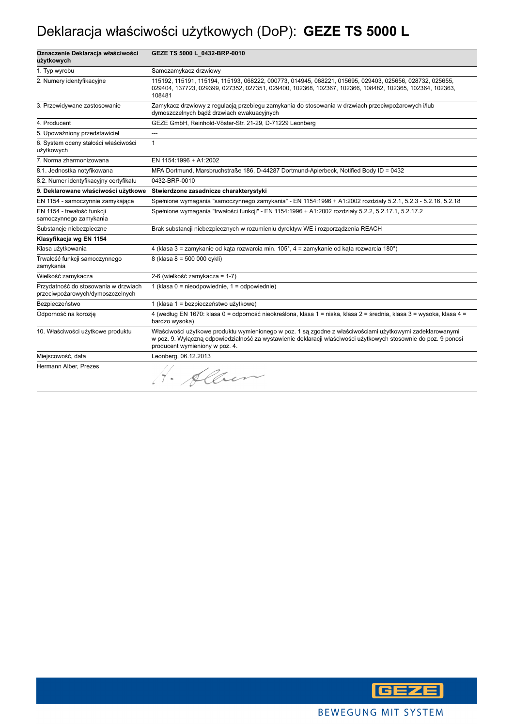### Deklaracja właściwości użytkowych (DoP): **GEZE TS 5000 L**

| Oznaczenie Deklaracja właściwości<br>użytkowych                          | GEZE TS 5000 L_0432-BRP-0010                                                                                                                                                                                                                                   |
|--------------------------------------------------------------------------|----------------------------------------------------------------------------------------------------------------------------------------------------------------------------------------------------------------------------------------------------------------|
| 1. Typ wyrobu                                                            | Samozamykacz drzwiowy                                                                                                                                                                                                                                          |
| 2. Numery identyfikacyjne                                                | 115192, 115191, 115194, 115193, 068222, 000773, 014945, 068221, 015695, 029403, 025656, 028732, 025655,<br>029404, 137723, 029399, 027352, 027351, 029400, 102368, 102367, 102366, 108482, 102365, 102364, 102363,<br>108481                                   |
| 3. Przewidywane zastosowanie                                             | Zamykacz drzwiowy z regulacją przebiegu zamykania do stosowania w drzwiach przeciwpożarowych i/lub<br>dymoszczelnych bądź drzwiach ewakuacyjnych                                                                                                               |
| 4. Producent                                                             | GEZE GmbH, Reinhold-Vöster-Str. 21-29, D-71229 Leonberg                                                                                                                                                                                                        |
| 5. Upoważniony przedstawiciel                                            | ---                                                                                                                                                                                                                                                            |
| 6. System oceny stałości właściwości<br>użytkowych                       | $\mathbf{1}$                                                                                                                                                                                                                                                   |
| 7. Norma zharmonizowana                                                  | EN 1154:1996 + A1:2002                                                                                                                                                                                                                                         |
| 8.1. Jednostka notyfikowana                                              | MPA Dortmund, Marsbruchstraße 186, D-44287 Dortmund-Aplerbeck, Notified Body ID = 0432                                                                                                                                                                         |
| 8.2. Numer identyfikacyjny certyfikatu                                   | 0432-BRP-0010                                                                                                                                                                                                                                                  |
| 9. Deklarowane właściwości użytkowe                                      | Stwierdzone zasadnicze charakterystyki                                                                                                                                                                                                                         |
| EN 1154 - samoczynnie zamykające                                         | Spełnione wymagania "samoczynnego zamykania" - EN 1154:1996 + A1:2002 rozdziały 5.2.1, 5.2.3 - 5.2.16, 5.2.18                                                                                                                                                  |
| EN 1154 - trwałość funkcji<br>samoczynnego zamykania                     | Spełnione wymagania "trwałości funkcji" - EN 1154:1996 + A1:2002 rozdziały 5.2.2, 5.2.17.1, 5.2.17.2                                                                                                                                                           |
| Substancje niebezpieczne                                                 | Brak substancji niebezpiecznych w rozumieniu dyrektyw WE i rozporządzenia REACH                                                                                                                                                                                |
| Klasyfikacja wg EN 1154                                                  |                                                                                                                                                                                                                                                                |
| Klasa użytkowania                                                        | 4 (klasa 3 = zamykanie od kąta rozwarcia min. 105°, 4 = zamykanie od kąta rozwarcia 180°)                                                                                                                                                                      |
| Trwałość funkcji samoczynnego<br>zamykania                               | 8 (klasa 8 = 500 000 cykli)                                                                                                                                                                                                                                    |
| Wielkość zamykacza                                                       | 2-6 (wielkość zamykacza = 1-7)                                                                                                                                                                                                                                 |
| Przydatność do stosowania w drzwiach<br>przeciwpożarowych/dymoszczelnych | 1 (klasa $0 =$ nieodpowiednie, $1 =$ odpowiednie)                                                                                                                                                                                                              |
| Bezpieczeństwo                                                           | 1 (klasa 1 = bezpieczeństwo użytkowe)                                                                                                                                                                                                                          |
| Odporność na korozję                                                     | 4 (według EN 1670: klasa 0 = odporność nieokreślona, klasa 1 = niska, klasa 2 = średnia, klasa 3 = wysoka, klasa 4 =<br>bardzo wysoka)                                                                                                                         |
| 10. Właściwości użytkowe produktu                                        | Właściwości użytkowe produktu wymienionego w poz. 1 są zgodne z właściwościami użytkowymi zadeklarowanymi<br>w poz. 9. Wyłączną odpowiedzialność za wystawienie deklaracji właściwości użytkowych stosownie do poz. 9 ponosi<br>producent wymieniony w poz. 4. |
| Miejscowość, data                                                        | Leonberg, 06.12.2013                                                                                                                                                                                                                                           |
| Hermann Alber, Prezes                                                    | 1. Alben                                                                                                                                                                                                                                                       |

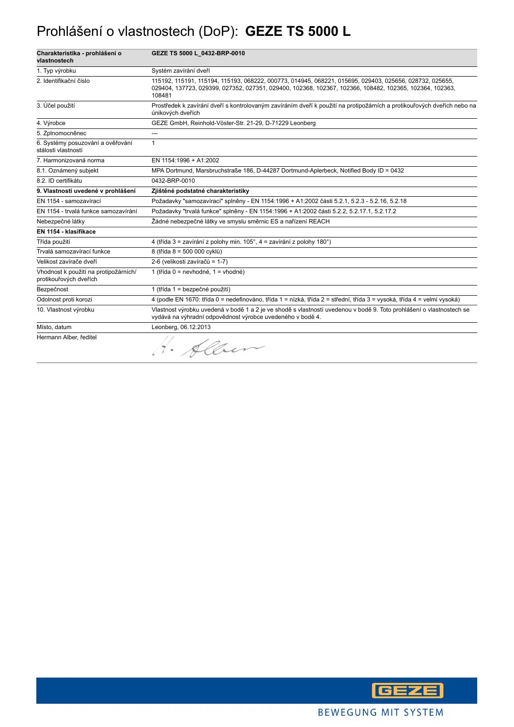#### Prohlášení o vlastnostech (DoP): **GEZE TS 5000 L**

| Charakteristika - prohlášení o<br>vlastnostech                  | GEZE TS 5000 L_0432-BRP-0010                                                                                                                                                                                                 |
|-----------------------------------------------------------------|------------------------------------------------------------------------------------------------------------------------------------------------------------------------------------------------------------------------------|
| 1. Typ výrobku                                                  | Systém zavírání dveří                                                                                                                                                                                                        |
| 2. Identifikační číslo                                          | 115192, 115191, 115194, 115193, 068222, 000773, 014945, 068221, 015695, 029403, 025656, 028732, 025655,<br>029404, 137723, 029399, 027352, 027351, 029400, 102368, 102367, 102366, 108482, 102365, 102364, 102363,<br>108481 |
| 3. Účel použití                                                 | Prostředek k zavírání dveří s kontrolovaným zavíráním dveří k použití na protipožárních a protikouřových dveřích nebo na<br>únikových dveřích                                                                                |
| 4. Výrobce                                                      | GEZE GmbH, Reinhold-Vöster-Str. 21-29, D-71229 Leonberg                                                                                                                                                                      |
| 5. Zplnomocněnec                                                | ---                                                                                                                                                                                                                          |
| 6. Systémy posuzování a ověřování<br>stálosti vlastností        | $\mathbf{1}$                                                                                                                                                                                                                 |
| 7. Harmonizovaná norma                                          | EN 1154:1996 + A1:2002                                                                                                                                                                                                       |
| 8.1. Oznámený subjekt                                           | MPA Dortmund, Marsbruchstraße 186, D-44287 Dortmund-Aplerbeck, Notified Body ID = 0432                                                                                                                                       |
| 8.2. ID certifikátu                                             | 0432-BRP-0010                                                                                                                                                                                                                |
| 9. Vlastnosti uvedené v prohlášení                              | Zjištěné podstatné charakteristiky                                                                                                                                                                                           |
| EN 1154 - samozavírací                                          | Požadavky "samozavírací" splněny - EN 1154:1996 + A1:2002 části 5.2.1, 5.2.3 - 5.2.16, 5.2.18                                                                                                                                |
| EN 1154 - trvalá funkce samozavírání                            | Požadavky "trvalá funkce" splněny - EN 1154:1996 + A1:2002 části 5.2.2, 5.2.17.1, 5.2.17.2                                                                                                                                   |
| Nebezpečné látky                                                | Žádné nebezpečné látky ve smyslu směrnic ES a nařízení REACH                                                                                                                                                                 |
| EN 1154 - klasifikace                                           |                                                                                                                                                                                                                              |
| Třída použití                                                   | 4 (třída 3 = zavírání z polohy min. 105°, 4 = zavírání z polohy 180°)                                                                                                                                                        |
| Trvalá samozavírací funkce                                      | 8 (třída 8 = 500 000 cyklů)                                                                                                                                                                                                  |
| Velikost zavírače dveří                                         | 2-6 (velikosti zavíračů = 1-7)                                                                                                                                                                                               |
| Vhodnost k použití na protipožárních/<br>protikouřových dveřích | 1 (třída 0 = nevhodné, 1 = vhodné)                                                                                                                                                                                           |
| Bezpečnost                                                      | 1 (třída 1 = bezpečné použití)                                                                                                                                                                                               |
| Odolnost proti korozi                                           | 4 (podle EN 1670: třída 0 = nedefinováno, třída 1 = nízká, třída 2 = střední, třída 3 = vysoká, třída 4 = velmi vysoká)                                                                                                      |
| 10. Vlastnost výrobku                                           | Vlastnost výrobku uvedená v bodě 1 a 2 je ve shodě s vlastností uvedenou v bodě 9. Toto prohlášení o vlastnostech se<br>vydává na výhradní odpovědnost výrobce uvedeného v bodě 4.                                           |
| Místo, datum                                                    | Leonberg, 06.12.2013                                                                                                                                                                                                         |
| Hermann Alber, ředitel                                          | Alben                                                                                                                                                                                                                        |

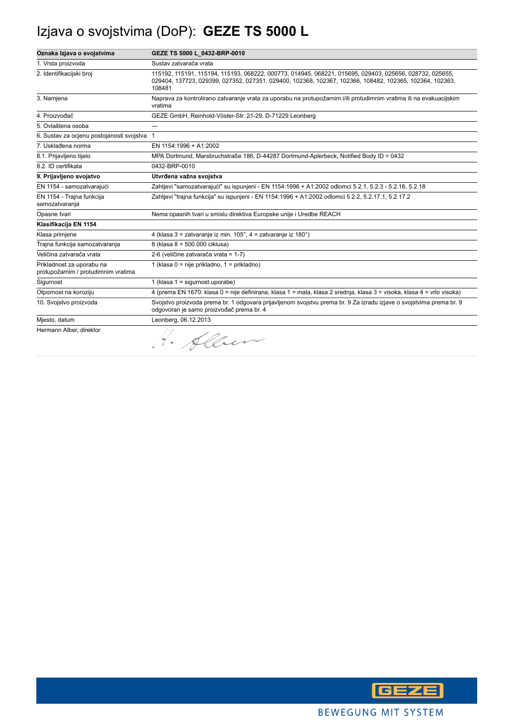### Izjava o svojstvima (DoP): **GEZE TS 5000 L**

| Oznaka Izjava o svojstvima                                       | GEZE TS 5000 L 0432-BRP-0010                                                                                                                                                                                                 |
|------------------------------------------------------------------|------------------------------------------------------------------------------------------------------------------------------------------------------------------------------------------------------------------------------|
| 1. Vrsta proizvoda                                               | Sustav zatvarača vrata                                                                                                                                                                                                       |
| 2. Identifikacijski broj                                         | 115192, 115191, 115194, 115193, 068222, 000773, 014945, 068221, 015695, 029403, 025656, 028732, 025655,<br>029404, 137723, 029399, 027352, 027351, 029400, 102368, 102367, 102366, 108482, 102365, 102364, 102363,<br>108481 |
| 3. Namjena                                                       | Naprava za kontrolirano zatvaranje vrata za uporabu na protupožarnim i/ili protudimnim vratima ili na evakuacijskim<br>vratima                                                                                               |
| 4. Proizvođač                                                    | GEZE GmbH, Reinhold-Vöster-Str. 21-29, D-71229 Leonberg                                                                                                                                                                      |
| 5. Ovlaštena osoba                                               | ---                                                                                                                                                                                                                          |
| 6. Sustav za ocjenu postojanosti svojstva 1                      |                                                                                                                                                                                                                              |
| 7. Usklađena norma                                               | EN 1154:1996 + A1:2002                                                                                                                                                                                                       |
| 8.1. Prijavljeno tijelo                                          | MPA Dortmund, Marsbruchstraße 186, D-44287 Dortmund-Aplerbeck, Notified Body ID = 0432                                                                                                                                       |
| 8.2. ID certifikata                                              | 0432-BRP-0010                                                                                                                                                                                                                |
| 9. Prijavljeno svojstvo                                          | Utvrđena važna svojstva                                                                                                                                                                                                      |
| EN 1154 - samozatvarajući                                        | Zahtjevi "samozatvarajući" su ispunjeni - EN 1154:1996 + A1:2002 odlomci 5.2.1, 5.2.3 - 5.2.16, 5.2.18                                                                                                                       |
| EN 1154 - Trajna funkcija<br>samozatvaranja                      | Zahtjevi "trajna funkcija" su ispunjeni - EN 1154:1996 + A1:2002 odlomci 5.2.2, 5.2.17.1, 5.2.17.2                                                                                                                           |
| Opasne tvari                                                     | Nema opasnih tvari u smislu direktiva Europske unije i Uredbe REACH                                                                                                                                                          |
| Klasifikacija EN 1154                                            |                                                                                                                                                                                                                              |
| Klasa primjene                                                   | 4 (klasa 3 = zatvaranje iz min. 105°, 4 = zatvaranje iz 180°)                                                                                                                                                                |
| Trajna funkcija samozatvaranja                                   | 8 (klasa 8 = 500.000 ciklusa)                                                                                                                                                                                                |
| Veličina zatvarača vrata                                         | 2-6 (veličine zatvarača vrata = 1-7)                                                                                                                                                                                         |
| Prikladnost za uporabu na<br>protupožarnim / protudimnim vratima | 1 (klasa 0 = nije prikladno, 1 = prikladno)                                                                                                                                                                                  |
| Sigurnost                                                        | 1 (klasa 1 = sigurnost uporabe)                                                                                                                                                                                              |
| Otpornost na koroziju                                            | 4 (prema EN 1670: klasa 0 = nije definirana, klasa 1 = mala, klasa 2 srednja, klasa 3 = visoka, klasa 4 = vrlo visoka)                                                                                                       |
| 10. Svojstvo proizvoda                                           | Svojstvo proizvoda prema br. 1 odgovara prijavljenom svojstvu prema br. 9 Za izradu izjave o svojstvima prema br. 9<br>odgovoran je samo proizvođač prema br. 4                                                              |
| Miesto, datum                                                    | Leonberg, 06.12.2013                                                                                                                                                                                                         |
| Hermann Alber, direktor                                          | H. Alben                                                                                                                                                                                                                     |